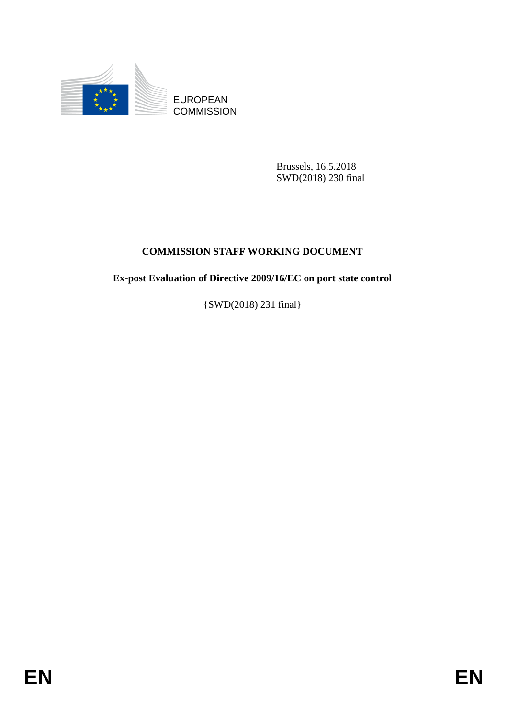

**COMMISSION** 

Brussels, 16.5.2018 SWD(2018) 230 final

# **COMMISSION STAFF WORKING DOCUMENT**

EUROPEAN<br>
EUROPEAN<br>
ENGANGESION<br>
ENGANGESION<br>
SWO(2018) 220 Junal<br>
COMMISSION STAFF WORKING DOCUMENT<br>
ENGANGESION STAFF WORKING DOCUMENT<br>
ENGANGESION (SWO(2018) 231 Junal)<br>
SWO(2018) 231 Junal<br>
EN **Ex-post Evaluation of Directive 2009/16/EC on port state control**

{SWD(2018) 231 final}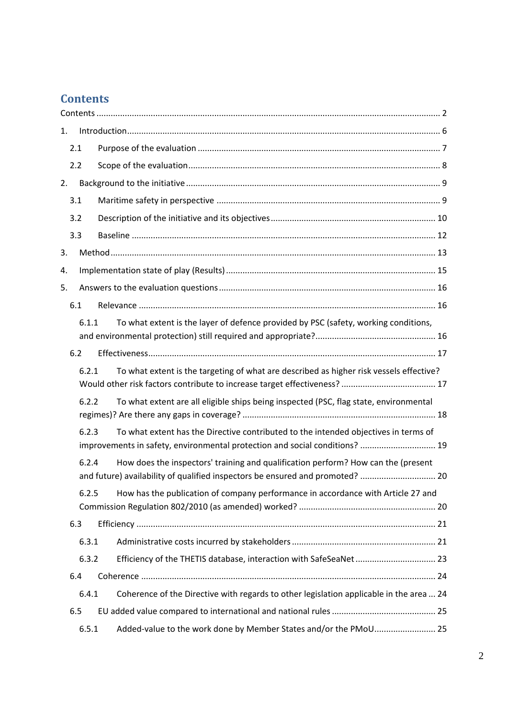# <span id="page-1-0"></span>**Contents**

| 1. |       |                                                                                                                                                                    |  |
|----|-------|--------------------------------------------------------------------------------------------------------------------------------------------------------------------|--|
|    | 2.1   |                                                                                                                                                                    |  |
|    | 2.2   |                                                                                                                                                                    |  |
| 2. |       |                                                                                                                                                                    |  |
|    | 3.1   |                                                                                                                                                                    |  |
|    | 3.2   |                                                                                                                                                                    |  |
|    | 3.3   |                                                                                                                                                                    |  |
| 3. |       |                                                                                                                                                                    |  |
| 4. |       |                                                                                                                                                                    |  |
| 5. |       |                                                                                                                                                                    |  |
|    | 6.1   |                                                                                                                                                                    |  |
|    | 6.1.1 | To what extent is the layer of defence provided by PSC (safety, working conditions,                                                                                |  |
|    |       |                                                                                                                                                                    |  |
|    | 6.2   |                                                                                                                                                                    |  |
|    | 6.2.1 | To what extent is the targeting of what are described as higher risk vessels effective?                                                                            |  |
|    | 6.2.2 | To what extent are all eligible ships being inspected (PSC, flag state, environmental                                                                              |  |
|    | 6.2.3 | To what extent has the Directive contributed to the intended objectives in terms of<br>improvements in safety, environmental protection and social conditions?  19 |  |
|    | 6.2.4 | How does the inspectors' training and qualification perform? How can the (present<br>and future) availability of qualified inspectors be ensured and promoted?  20 |  |
|    | 6.2.5 | How has the publication of company performance in accordance with Article 27 and                                                                                   |  |
|    | 6.3   |                                                                                                                                                                    |  |
|    | 6.3.1 |                                                                                                                                                                    |  |
|    | 6.3.2 |                                                                                                                                                                    |  |
|    | 6.4   |                                                                                                                                                                    |  |
|    | 6.4.1 | Coherence of the Directive with regards to other legislation applicable in the area  24                                                                            |  |
|    | 6.5   |                                                                                                                                                                    |  |
|    | 6.5.1 | Added-value to the work done by Member States and/or the PMoU 25                                                                                                   |  |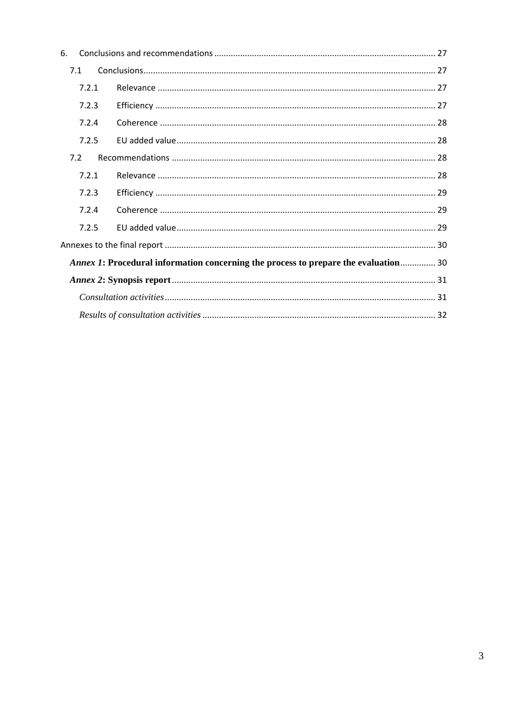| 6. |       |                                                                                             |  |
|----|-------|---------------------------------------------------------------------------------------------|--|
|    | 7.1   |                                                                                             |  |
|    | 7.2.1 |                                                                                             |  |
|    | 7.2.3 |                                                                                             |  |
|    | 7.2.4 |                                                                                             |  |
|    | 7.2.5 |                                                                                             |  |
|    | 7.2   |                                                                                             |  |
|    | 7.2.1 |                                                                                             |  |
|    | 7.2.3 |                                                                                             |  |
|    | 7.2.4 |                                                                                             |  |
|    | 7.2.5 |                                                                                             |  |
|    |       |                                                                                             |  |
|    |       | <i>Annex 1</i> : Procedural information concerning the process to prepare the evaluation 30 |  |
|    |       |                                                                                             |  |
|    |       |                                                                                             |  |
|    |       |                                                                                             |  |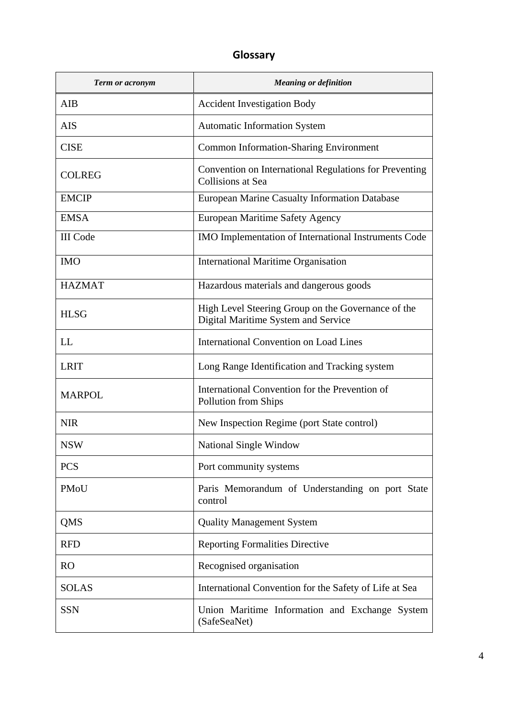# **Glossary**

| <b>Term or acronym</b> | <b>Meaning or definition</b>                                                              |  |  |
|------------------------|-------------------------------------------------------------------------------------------|--|--|
| <b>AIB</b>             | <b>Accident Investigation Body</b>                                                        |  |  |
| <b>AIS</b>             | <b>Automatic Information System</b>                                                       |  |  |
| <b>CISE</b>            | <b>Common Information-Sharing Environment</b>                                             |  |  |
| <b>COLREG</b>          | Convention on International Regulations for Preventing<br><b>Collisions at Sea</b>        |  |  |
| <b>EMCIP</b>           | European Marine Casualty Information Database                                             |  |  |
| <b>EMSA</b>            | European Maritime Safety Agency                                                           |  |  |
| <b>III</b> Code        | IMO Implementation of International Instruments Code                                      |  |  |
| <b>IMO</b>             | <b>International Maritime Organisation</b>                                                |  |  |
| <b>HAZMAT</b>          | Hazardous materials and dangerous goods                                                   |  |  |
| <b>HLSG</b>            | High Level Steering Group on the Governance of the<br>Digital Maritime System and Service |  |  |
| <b>LL</b>              | International Convention on Load Lines                                                    |  |  |
| <b>LRIT</b>            | Long Range Identification and Tracking system                                             |  |  |
| <b>MARPOL</b>          | International Convention for the Prevention of<br>Pollution from Ships                    |  |  |
| <b>NIR</b>             | New Inspection Regime (port State control)                                                |  |  |
| <b>NSW</b>             | National Single Window                                                                    |  |  |
| <b>PCS</b>             | Port community systems                                                                    |  |  |
| <b>PMoU</b>            | Paris Memorandum of Understanding on port State<br>control                                |  |  |
| QMS                    | <b>Quality Management System</b>                                                          |  |  |
| <b>RFD</b>             | <b>Reporting Formalities Directive</b>                                                    |  |  |
| <b>RO</b>              | Recognised organisation                                                                   |  |  |
| <b>SOLAS</b>           | International Convention for the Safety of Life at Sea                                    |  |  |
| <b>SSN</b>             | Union Maritime Information and Exchange System<br>(SafeSeaNet)                            |  |  |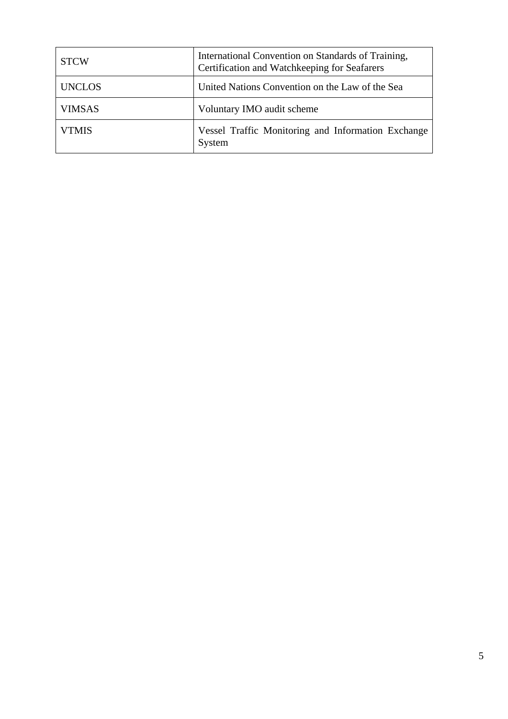| <b>STCW</b>   | International Convention on Standards of Training,<br>Certification and Watchkeeping for Seafarers |  |  |
|---------------|----------------------------------------------------------------------------------------------------|--|--|
| <b>UNCLOS</b> | United Nations Convention on the Law of the Sea                                                    |  |  |
| <b>VIMSAS</b> | Voluntary IMO audit scheme                                                                         |  |  |
| <b>VTMIS</b>  | Vessel Traffic Monitoring and Information Exchange<br>System                                       |  |  |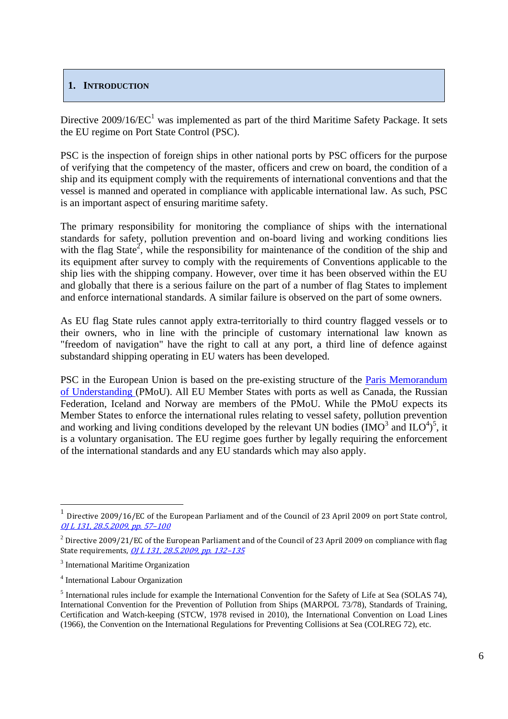#### <span id="page-5-0"></span>**1. INTRODUCTION**

Directive  $2009/16/EC^1$  was implemented as part of the third Maritime Safety Package. It sets the EU regime on Port State Control (PSC).

PSC is the inspection of foreign ships in other national ports by PSC officers for the purpose of verifying that the competency of the master, officers and crew on board, the condition of a ship and its equipment comply with the requirements of international conventions and that the vessel is manned and operated in compliance with applicable international law. As such, PSC is an important aspect of ensuring maritime safety.

The primary responsibility for monitoring the compliance of ships with the international standards for safety, pollution prevention and on-board living and working conditions lies with the flag State<sup>2</sup>, while the responsibility for maintenance of the condition of the ship and its equipment after survey to comply with the requirements of Conventions applicable to the ship lies with the shipping company. However, over time it has been observed within the EU and globally that there is a serious failure on the part of a number of flag States to implement and enforce international standards. A similar failure is observed on the part of some owners.

As EU flag State rules cannot apply extra-territorially to third country flagged vessels or to their owners, who in line with the principle of customary international law known as "freedom of navigation" have the right to call at any port, a third line of defence against substandard shipping operating in EU waters has been developed.

PSC in the European Union is based on the pre-existing structure of the [Paris Memorandum](https://www.parismou.org/)  [of Understanding](https://www.parismou.org/) (PMoU). All EU Member States with ports as well as Canada, the Russian Federation, Iceland and Norway are members of the PMoU. While the PMoU expects its Member States to enforce the international rules relating to vessel safety, pollution prevention and working and living conditions developed by the relevant UN bodies ( $\text{IMO}^3$  and  $\text{LO}^4$ )<sup>5</sup>, it is a voluntary organisation. The EU regime goes further by legally requiring the enforcement of the international standards and any EU standards which may also apply.

1

<sup>1</sup> Directive 2009/16/EC of the European Parliament and of the Council of 23 April 2009 on port State control, [OJ L 131, 28.5.2009, pp. 57](http://eur-lex.europa.eu/legal-content/EN/TXT/PDF/?uri=CELEX:32009L0016&qid=1499330988921&from=EN)–100

<sup>&</sup>lt;sup>2</sup> Directive 2009/21/EC of the European Parliament and of the Council of 23 April 2009 on compliance with flag State requirements, *OI L 131, 28.5.2009, pp. 132-135* 

<sup>&</sup>lt;sup>3</sup> International Maritime Organization

<sup>4</sup> International Labour Organization

<sup>&</sup>lt;sup>5</sup> International rules include for example the International Convention for the Safety of Life at Sea (SOLAS 74), International Convention for the Prevention of Pollution from Ships (MARPOL 73/78), Standards of Training, Certification and Watch-keeping (STCW, 1978 revised in 2010), the International Convention on Load Lines (1966), the Convention on the International Regulations for Preventing Collisions at Sea (COLREG 72), etc.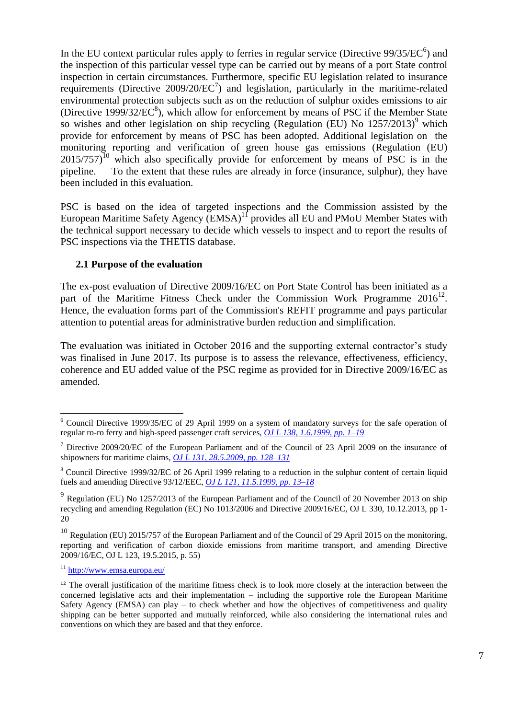In the EU context particular rules apply to ferries in regular service (Directive  $99/35/EC^6$ ) and the inspection of this particular vessel type can be carried out by means of a port State control inspection in certain circumstances. Furthermore, specific EU legislation related to insurance requirements (Directive  $2009/20$ / $EC<sup>7</sup>$ ) and legislation, particularly in the maritime-related environmental protection subjects such as on the reduction of sulphur oxides emissions to air (Directive  $1999/32/EC^8$ ), which allow for enforcement by means of PSC if the Member State so wishes and other legislation on ship recycling (Regulation (EU) No 1257/2013)<sup>9</sup> which provide for enforcement by means of PSC has been adopted. Additional legislation on the monitoring reporting and verification of green house gas emissions (Regulation (EU)  $2015/757$ <sup>10</sup> which also specifically provide for enforcement by means of PSC is in the pipeline. To the extent that these rules are already in force (insurance, sulphur), they have been included in this evaluation.

PSC is based on the idea of targeted inspections and the Commission assisted by the European Maritime Safety Agency  $\overline{(EMSA)}^{11}$  provides all EU and PMoU Member States with the technical support necessary to decide which vessels to inspect and to report the results of PSC inspections via the THETIS database.

### <span id="page-6-0"></span>**2.1 Purpose of the evaluation**

The ex-post evaluation of Directive 2009/16/EC on Port State Control has been initiated as a part of the Maritime Fitness Check under the Commission Work Programme  $2016^{12}$ . Hence, the evaluation forms part of the Commission's REFIT programme and pays particular attention to potential areas for administrative burden reduction and simplification.

The evaluation was initiated in October 2016 and the supporting external contractor's study was finalised in June 2017. Its purpose is to assess the relevance, effectiveness, efficiency, coherence and EU added value of the PSC regime as provided for in Directive 2009/16/EC as amended.

<sup>6</sup> Council Directive 1999/35/EC of 29 April 1999 on a system of mandatory surveys for the safe operation of regular ro-ro ferry and high-speed passenger craft services, *[OJ L 138, 1.6.1999, pp. 1–19](http://eur-lex.europa.eu/legal-content/EN/TXT/PDF/?uri=CELEX:31999L0035&qid=1499331164808&from=EN)*

<sup>7</sup> Directive 2009/20/EC of the European Parliament and of the Council of 23 April 2009 on the insurance of shipowners for maritime claims, *[OJ L 131, 28.5.2009, pp. 128–131](http://eur-lex.europa.eu/legal-content/EN/TXT/PDF/?uri=CELEX:32009L0020&qid=1499331237858&from=EN)*

<sup>&</sup>lt;sup>8</sup> Council Directive 1999/32/EC of 26 April 1999 relating to a reduction in the sulphur content of certain liquid fuels and amending Directive 93/12/EEC, *[OJ L 121, 11.5.1999, pp. 13–18](http://eur-lex.europa.eu/legal-content/EN/TXT/PDF/?uri=CELEX:31999L0032&qid=1499331327702&from=EN)*

<sup>&</sup>lt;sup>9</sup> Regulation (EU) No 1257/2013 of the European Parliament and of the Council of 20 November 2013 on ship recycling and amending Regulation (EC) No 1013/2006 and Directive 2009/16/EC, OJ L 330, 10.12.2013, pp 1- 20

<sup>&</sup>lt;sup>10</sup> Regulation (EU) 2015/757 of the European Parliament and of the Council of 29 April 2015 on the monitoring, reporting and verification of carbon dioxide emissions from maritime transport, and amending Directive 2009/16/EC, OJ L 123, 19.5.2015, p. 55)

<sup>11</sup> <http://www.emsa.europa.eu/>

<sup>&</sup>lt;sup>12</sup> The overall justification of the maritime fitness check is to look more closely at the interaction between the concerned legislative acts and their implementation – including the supportive role the European Maritime Safety Agency (EMSA) can play – to check whether and how the objectives of competitiveness and quality shipping can be better supported and mutually reinforced, while also considering the international rules and conventions on which they are based and that they enforce.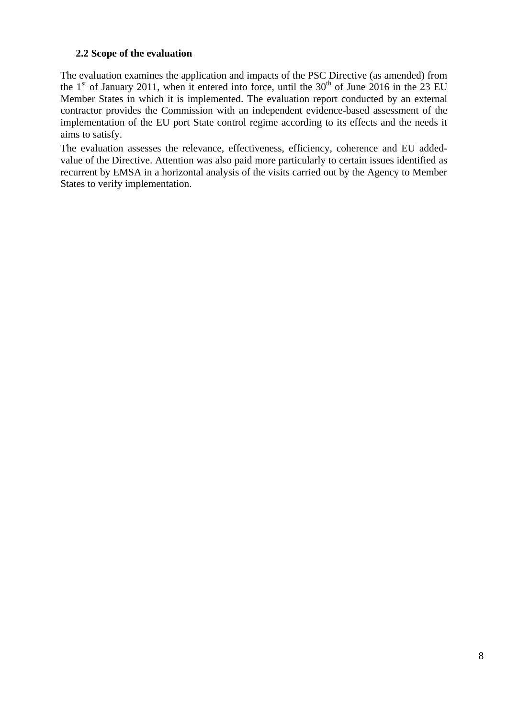#### <span id="page-7-0"></span>**2.2 Scope of the evaluation**

The evaluation examines the application and impacts of the PSC Directive (as amended) from the 1<sup>st</sup> of January 2011, when it entered into force, until the 30<sup>th</sup> of June 2016 in the 23 EU Member States in which it is implemented. The evaluation report conducted by an external contractor provides the Commission with an independent evidence-based assessment of the implementation of the EU port State control regime according to its effects and the needs it aims to satisfy.

The evaluation assesses the relevance, effectiveness, efficiency, coherence and EU addedvalue of the Directive. Attention was also paid more particularly to certain issues identified as recurrent by EMSA in a horizontal analysis of the visits carried out by the Agency to Member States to verify implementation.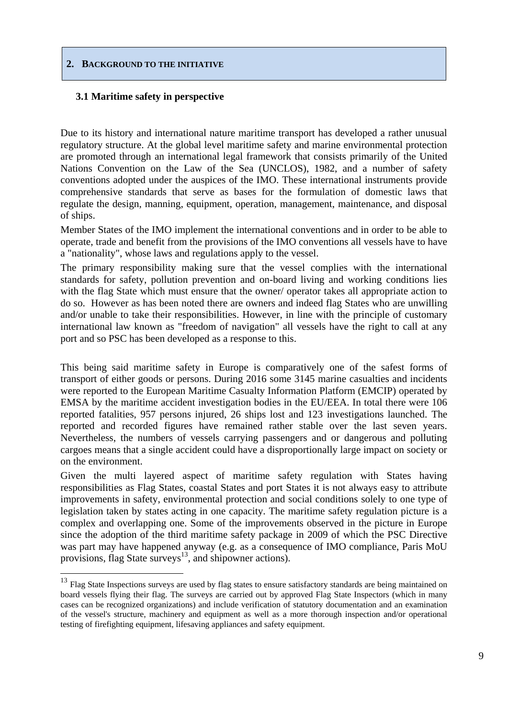#### <span id="page-8-0"></span>**2. BACKGROUND TO THE INITIATIVE**

#### <span id="page-8-1"></span>**3.1 Maritime safety in perspective**

1

Due to its history and international nature maritime transport has developed a rather unusual regulatory structure. At the global level maritime safety and marine environmental protection are promoted through an international legal framework that consists primarily of the United Nations Convention on the Law of the Sea (UNCLOS), 1982, and a number of safety conventions adopted under the auspices of the IMO. These international instruments provide comprehensive standards that serve as bases for the formulation of domestic laws that regulate the design, manning, equipment, operation, management, maintenance, and disposal of ships.

Member States of the IMO implement the international conventions and in order to be able to operate, trade and benefit from the provisions of the IMO conventions all vessels have to have a "nationality", whose laws and regulations apply to the vessel.

The primary responsibility making sure that the vessel complies with the international standards for safety, pollution prevention and on-board living and working conditions lies with the flag State which must ensure that the owner/ operator takes all appropriate action to do so. However as has been noted there are owners and indeed flag States who are unwilling and/or unable to take their responsibilities. However, in line with the principle of customary international law known as "freedom of navigation" all vessels have the right to call at any port and so PSC has been developed as a response to this.

This being said maritime safety in Europe is comparatively one of the safest forms of transport of either goods or persons. During 2016 some 3145 marine casualties and incidents were reported to the European Maritime Casualty Information Platform (EMCIP) operated by EMSA by the maritime accident investigation bodies in the EU/EEA. In total there were 106 reported fatalities, 957 persons injured, 26 ships lost and 123 investigations launched. The reported and recorded figures have remained rather stable over the last seven years. Nevertheless, the numbers of vessels carrying passengers and or dangerous and polluting cargoes means that a single accident could have a disproportionally large impact on society or on the environment.

Given the multi layered aspect of maritime safety regulation with States having responsibilities as Flag States, coastal States and port States it is not always easy to attribute improvements in safety, environmental protection and social conditions solely to one type of legislation taken by states acting in one capacity. The maritime safety regulation picture is a complex and overlapping one. Some of the improvements observed in the picture in Europe since the adoption of the third maritime safety package in 2009 of which the PSC Directive was part may have happened anyway (e.g. as a consequence of IMO compliance, Paris MoU provisions, flag State surveys<sup>13</sup>, and shipowner actions).

<sup>&</sup>lt;sup>13</sup> Flag State Inspections surveys are used by flag states to ensure satisfactory standards are being maintained on board vessels flying their flag. The surveys are carried out by approved Flag State Inspectors (which in many cases can be recognized organizations) and include verification of statutory documentation and an examination of the vessel's structure, machinery and equipment as well as a more thorough inspection and/or operational testing of firefighting equipment, lifesaving appliances and safety equipment.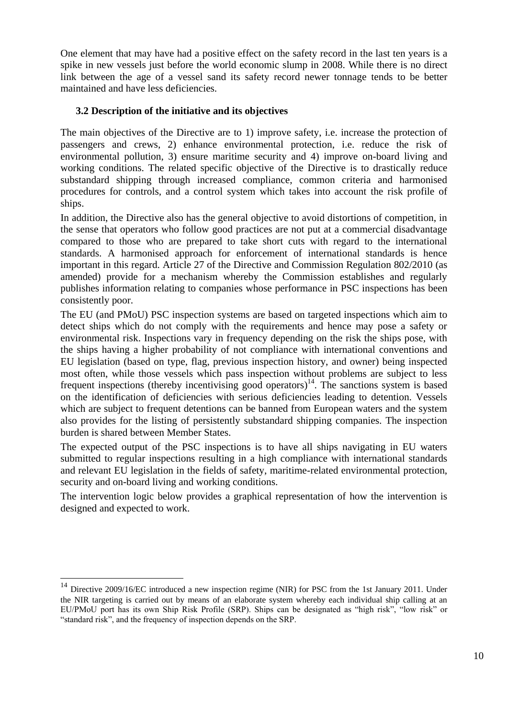One element that may have had a positive effect on the safety record in the last ten years is a spike in new vessels just before the world economic slump in 2008. While there is no direct link between the age of a vessel sand its safety record newer tonnage tends to be better maintained and have less deficiencies.

# <span id="page-9-0"></span>**3.2 Description of the initiative and its objectives**

The main objectives of the Directive are to 1) improve safety, i.e. increase the protection of passengers and crews, 2) enhance environmental protection, i.e. reduce the risk of environmental pollution, 3) ensure maritime security and 4) improve on-board living and working conditions. The related specific objective of the Directive is to drastically reduce substandard shipping through increased compliance, common criteria and harmonised procedures for controls, and a control system which takes into account the risk profile of ships.

In addition, the Directive also has the general objective to avoid distortions of competition, in the sense that operators who follow good practices are not put at a commercial disadvantage compared to those who are prepared to take short cuts with regard to the international standards. A harmonised approach for enforcement of international standards is hence important in this regard. Article 27 of the Directive and Commission Regulation 802/2010 (as amended) provide for a mechanism whereby the Commission establishes and regularly publishes information relating to companies whose performance in PSC inspections has been consistently poor.

The EU (and PMoU) PSC inspection systems are based on targeted inspections which aim to detect ships which do not comply with the requirements and hence may pose a safety or environmental risk. Inspections vary in frequency depending on the risk the ships pose, with the ships having a higher probability of not compliance with international conventions and EU legislation (based on type, flag, previous inspection history, and owner) being inspected most often, while those vessels which pass inspection without problems are subject to less frequent inspections (thereby incentivising good operators)<sup>14</sup>. The sanctions system is based on the identification of deficiencies with serious deficiencies leading to detention. Vessels which are subject to frequent detentions can be banned from European waters and the system also provides for the listing of persistently substandard shipping companies. The inspection burden is shared between Member States.

The expected output of the PSC inspections is to have all ships navigating in EU waters submitted to regular inspections resulting in a high compliance with international standards and relevant EU legislation in the fields of safety, maritime-related environmental protection, security and on-board living and working conditions.

The intervention logic below provides a graphical representation of how the intervention is designed and expected to work.

<sup>&</sup>lt;sup>14</sup> Directive 2009/16/EC introduced a new inspection regime (NIR) for PSC from the 1st January 2011. Under the NIR targeting is carried out by means of an elaborate system whereby each individual ship calling at an EU/PMoU port has its own Ship Risk Profile (SRP). Ships can be designated as "high risk", "low risk" or "standard risk", and the frequency of inspection depends on the SRP.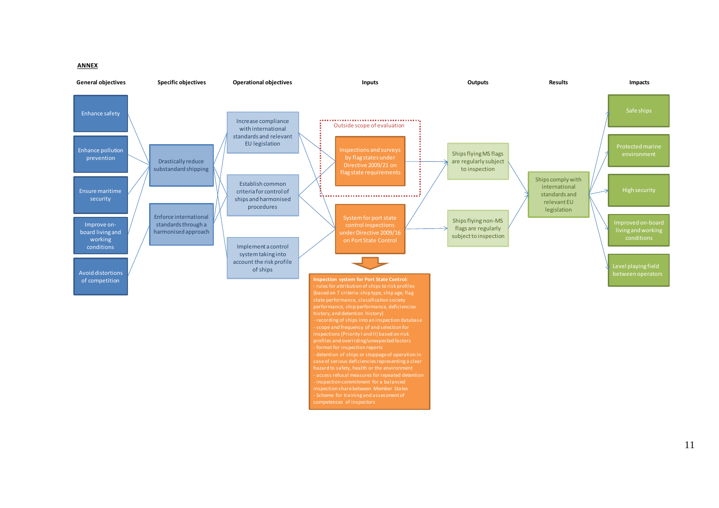#### **ANNEX**

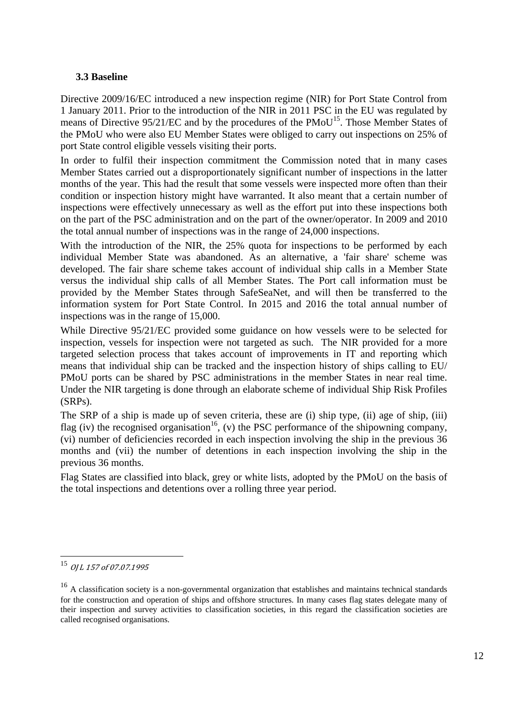#### <span id="page-11-0"></span>**3.3 Baseline**

Directive 2009/16/EC introduced a new inspection regime (NIR) for Port State Control from 1 January 2011. Prior to the introduction of the NIR in 2011 PSC in the EU was regulated by means of Directive 95/21/EC and by the procedures of the PMoU<sup>15</sup>. Those Member States of the PMoU who were also EU Member States were obliged to carry out inspections on 25% of port State control eligible vessels visiting their ports.

In order to fulfil their inspection commitment the Commission noted that in many cases Member States carried out a disproportionately significant number of inspections in the latter months of the year. This had the result that some vessels were inspected more often than their condition or inspection history might have warranted. It also meant that a certain number of inspections were effectively unnecessary as well as the effort put into these inspections both on the part of the PSC administration and on the part of the owner/operator. In 2009 and 2010 the total annual number of inspections was in the range of 24,000 inspections.

With the introduction of the NIR, the 25% quota for inspections to be performed by each individual Member State was abandoned. As an alternative, a 'fair share' scheme was developed. The fair share scheme takes account of individual ship calls in a Member State versus the individual ship calls of all Member States. The Port call information must be provided by the Member States through SafeSeaNet, and will then be transferred to the information system for Port State Control. In 2015 and 2016 the total annual number of inspections was in the range of 15,000.

While Directive 95/21/EC provided some guidance on how vessels were to be selected for inspection, vessels for inspection were not targeted as such. The NIR provided for a more targeted selection process that takes account of improvements in IT and reporting which means that individual ship can be tracked and the inspection history of ships calling to EU/ PMoU ports can be shared by PSC administrations in the member States in near real time. Under the NIR targeting is done through an elaborate scheme of individual Ship Risk Profiles (SRPs).

The SRP of a ship is made up of seven criteria, these are (i) ship type, (ii) age of ship, (iii) flag (iv) the recognised organisation<sup>16</sup>, (v) the PSC performance of the shipowning company, (vi) number of deficiencies recorded in each inspection involving the ship in the previous 36 months and (vii) the number of detentions in each inspection involving the ship in the previous 36 months.

Flag States are classified into black, grey or white lists, adopted by the PMoU on the basis of the total inspections and detentions over a rolling three year period.

<sup>&</sup>lt;sup>15</sup> OJ L 157 of 07.07.1995

<sup>&</sup>lt;sup>16</sup> A classification society is a non-governmental organization that establishes and maintains technical standards for the construction and operation of ships and offshore structures. In many cases flag states delegate many of their inspection and survey activities to classification societies, in this regard the classification societies are called recognised organisations.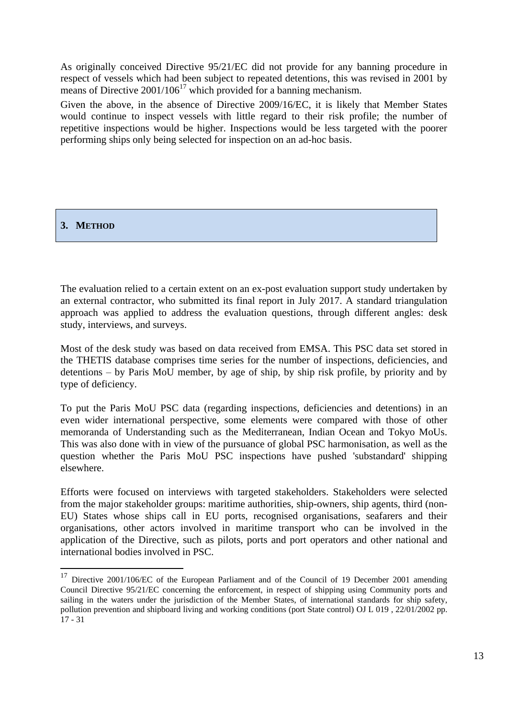As originally conceived Directive 95/21/EC did not provide for any banning procedure in respect of vessels which had been subject to repeated detentions, this was revised in 2001 by means of Directive  $2001/106^{17}$  which provided for a banning mechanism.

Given the above, in the absence of Directive 2009/16/EC, it is likely that Member States would continue to inspect vessels with little regard to their risk profile; the number of repetitive inspections would be higher. Inspections would be less targeted with the poorer performing ships only being selected for inspection on an ad-hoc basis.

# <span id="page-12-0"></span>**3. METHOD**

The evaluation relied to a certain extent on an ex-post evaluation support study undertaken by an external contractor, who submitted its final report in July 2017. A standard triangulation approach was applied to address the evaluation questions, through different angles: desk study, interviews, and surveys.

Most of the desk study was based on data received from EMSA. This PSC data set stored in the THETIS database comprises time series for the number of inspections, deficiencies, and detentions – by Paris MoU member, by age of ship, by ship risk profile, by priority and by type of deficiency.

To put the Paris MoU PSC data (regarding inspections, deficiencies and detentions) in an even wider international perspective, some elements were compared with those of other memoranda of Understanding such as the Mediterranean, Indian Ocean and Tokyo MoUs. This was also done with in view of the pursuance of global PSC harmonisation, as well as the question whether the Paris MoU PSC inspections have pushed 'substandard' shipping elsewhere.

Efforts were focused on interviews with targeted stakeholders. Stakeholders were selected from the major stakeholder groups: maritime authorities, ship-owners, ship agents, third (non-EU) States whose ships call in EU ports, recognised organisations, seafarers and their organisations, other actors involved in maritime transport who can be involved in the application of the Directive, such as pilots, ports and port operators and other national and international bodies involved in PSC.

 $17\,$ Directive 2001/106/EC of the European Parliament and of the Council of 19 December 2001 amending Council Directive 95/21/EC concerning the enforcement, in respect of shipping using Community ports and sailing in the waters under the jurisdiction of the Member States, of international standards for ship safety, pollution prevention and shipboard living and working conditions (port State control) OJ L 019 , 22/01/2002 pp. 17 - 31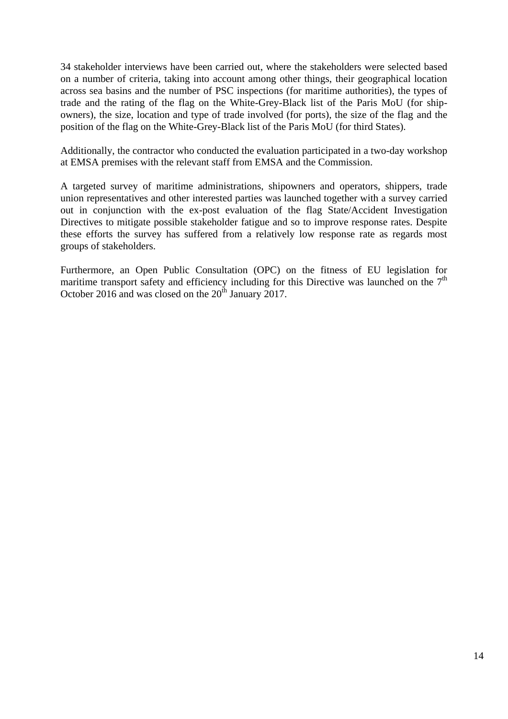34 stakeholder interviews have been carried out, where the stakeholders were selected based on a number of criteria, taking into account among other things, their geographical location across sea basins and the number of PSC inspections (for maritime authorities), the types of trade and the rating of the flag on the White-Grey-Black list of the Paris MoU (for shipowners), the size, location and type of trade involved (for ports), the size of the flag and the position of the flag on the White-Grey-Black list of the Paris MoU (for third States).

Additionally, the contractor who conducted the evaluation participated in a two-day workshop at EMSA premises with the relevant staff from EMSA and the Commission.

A targeted survey of maritime administrations, shipowners and operators, shippers, trade union representatives and other interested parties was launched together with a survey carried out in conjunction with the ex-post evaluation of the flag State/Accident Investigation Directives to mitigate possible stakeholder fatigue and so to improve response rates. Despite these efforts the survey has suffered from a relatively low response rate as regards most groups of stakeholders.

Furthermore, an Open Public Consultation (OPC) on the fitness of EU legislation for maritime transport safety and efficiency including for this Directive was launched on the  $7<sup>th</sup>$ October 2016 and was closed on the  $20^{th}$  January 2017.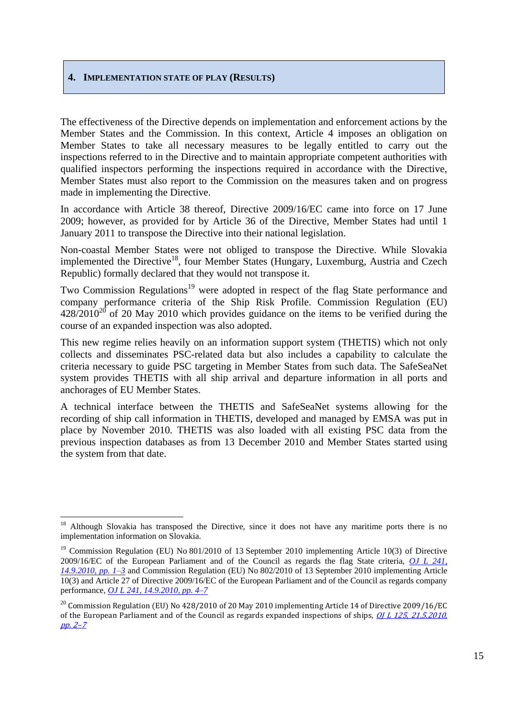#### <span id="page-14-0"></span>**4. IMPLEMENTATION STATE OF PLAY (RESULTS)**

The effectiveness of the Directive depends on implementation and enforcement actions by the Member States and the Commission. In this context, Article 4 imposes an obligation on Member States to take all necessary measures to be legally entitled to carry out the inspections referred to in the Directive and to maintain appropriate competent authorities with qualified inspectors performing the inspections required in accordance with the Directive, Member States must also report to the Commission on the measures taken and on progress made in implementing the Directive.

In accordance with Article 38 thereof, Directive 2009/16/EC came into force on 17 June 2009; however, as provided for by Article 36 of the Directive, Member States had until 1 January 2011 to transpose the Directive into their national legislation.

Non-coastal Member States were not obliged to transpose the Directive. While Slovakia implemented the Directive<sup>18</sup>, four Member States (Hungary, Luxemburg, Austria and Czech Republic) formally declared that they would not transpose it.

Two Commission Regulations<sup>19</sup> were adopted in respect of the flag State performance and company performance criteria of the Ship Risk Profile. Commission Regulation (EU)  $428/2010^{20}$  of 20 May 2010 which provides guidance on the items to be verified during the course of an expanded inspection was also adopted.

This new regime relies heavily on an information support system (THETIS) which not only collects and disseminates PSC-related data but also includes a capability to calculate the criteria necessary to guide PSC targeting in Member States from such data. The SafeSeaNet system provides THETIS with all ship arrival and departure information in all ports and anchorages of EU Member States.

A technical interface between the THETIS and SafeSeaNet systems allowing for the recording of ship call information in THETIS, developed and managed by EMSA was put in place by November 2010. THETIS was also loaded with all existing PSC data from the previous inspection databases as from 13 December 2010 and Member States started using the system from that date.

<sup>&</sup>lt;sup>18</sup> Although Slovakia has transposed the Directive, since it does not have any maritime ports there is no implementation information on Slovakia.

<sup>&</sup>lt;sup>19</sup> Commission Regulation (EU) No 801/2010 of 13 September 2010 implementing Article 10(3) of Directive 2009/16/EC of the European Parliament and of the Council as regards the flag State criteria, *[OJ L 241,](http://eur-lex.europa.eu/legal-content/EN/TXT/PDF/?uri=CELEX:32010R0801&qid=1499331661628&from=EN)  [14.9.2010, pp. 1–3](http://eur-lex.europa.eu/legal-content/EN/TXT/PDF/?uri=CELEX:32010R0801&qid=1499331661628&from=EN)* and Commission Regulation (EU) No 802/2010 of 13 September 2010 implementing Article 10(3) and Article 27 of Directive 2009/16/EC of the European Parliament and of the Council as regards company performance, *[OJ L 241, 14.9.2010, pp. 4–7](http://eur-lex.europa.eu/legal-content/EN/TXT/PDF/?uri=CELEX:32010R0802&qid=1499331822862&from=EN)*

 $^{20}$  Commission Regulation (EU) No 428/2010 of 20 May 2010 implementing Article 14 of Directive 2009/16/EC of the European Parliament and of the Council as regards expanded inspections of ships, *OJ L 125, 21.5.2010*, [pp.](http://eur-lex.europa.eu/legal-content/EN/TXT/PDF/?uri=CELEX:32010R0428&qid=1499331986801&from=EN) 2–7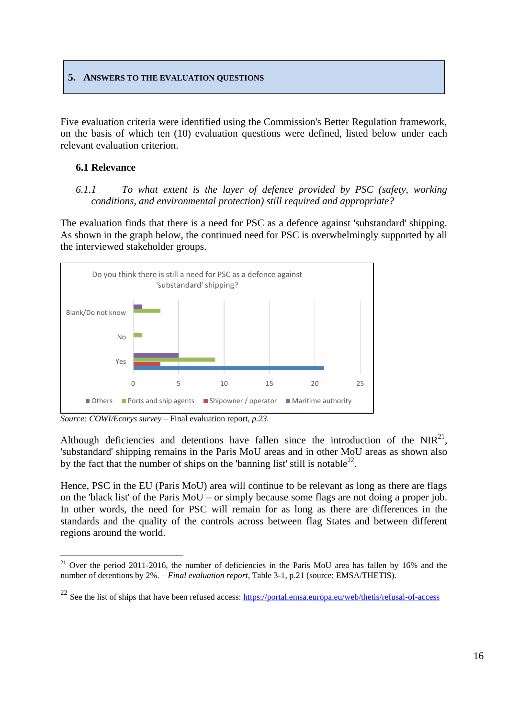#### <span id="page-15-0"></span>**5. ANSWERS TO THE EVALUATION QUESTIONS**

Five evaluation criteria were identified using the Commission's Better Regulation framework, on the basis of which ten (10) evaluation questions were defined, listed below under each relevant evaluation criterion.

#### <span id="page-15-1"></span>**6.1 Relevance**

<span id="page-15-2"></span>*6.1.1 To what extent is the layer of defence provided by PSC (safety, working conditions, and environmental protection) still required and appropriate?*

The evaluation finds that there is a need for PSC as a defence against 'substandard' shipping. As shown in the graph below, the continued need for PSC is overwhelmingly supported by all the interviewed stakeholder groups.



*Source: COWI/Ecorys survey –* Final evaluation report*, p.23.*

Although deficiencies and detentions have fallen since the introduction of the  $NIR<sup>21</sup>$ , 'substandard' shipping remains in the Paris MoU areas and in other MoU areas as shown also by the fact that the number of ships on the 'banning list' still is notable<sup>22</sup>.

Hence, PSC in the EU (Paris MoU) area will continue to be relevant as long as there are flags on the 'black list' of the Paris MoU – or simply because some flags are not doing a proper job. In other words, the need for PSC will remain for as long as there are differences in the standards and the quality of the controls across between flag States and between different regions around the world.

<sup>1</sup> <sup>21</sup> Over the period 2011-2016, the number of deficiencies in the Paris MoU area has fallen by 16% and the number of detentions by 2%. – *Final evaluation report*, Table 3-1, p.21 (source: EMSA/THETIS).

<sup>&</sup>lt;sup>22</sup> See the list of ships that have been refused access:<https://portal.emsa.europa.eu/web/thetis/refusal-of-access>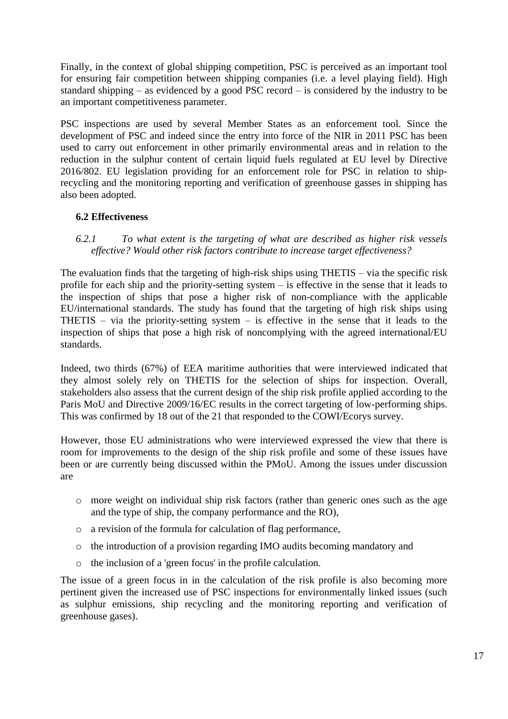Finally, in the context of global shipping competition, PSC is perceived as an important tool for ensuring fair competition between shipping companies (i.e. a level playing field). High standard shipping – as evidenced by a good PSC record – is considered by the industry to be an important competitiveness parameter.

PSC inspections are used by several Member States as an enforcement tool. Since the development of PSC and indeed since the entry into force of the NIR in 2011 PSC has been used to carry out enforcement in other primarily environmental areas and in relation to the reduction in the sulphur content of certain liquid fuels regulated at EU level by Directive 2016/802. EU legislation providing for an enforcement role for PSC in relation to shiprecycling and the monitoring reporting and verification of greenhouse gasses in shipping has also been adopted.

### <span id="page-16-0"></span>**6.2 Effectiveness**

<span id="page-16-1"></span>*6.2.1 To what extent is the targeting of what are described as higher risk vessels effective? Would other risk factors contribute to increase target effectiveness?*

The evaluation finds that the targeting of high-risk ships using THETIS – via the specific risk profile for each ship and the priority-setting system – is effective in the sense that it leads to the inspection of ships that pose a higher risk of non-compliance with the applicable EU/international standards. The study has found that the targeting of high risk ships using THETIS – via the priority-setting system – is effective in the sense that it leads to the inspection of ships that pose a high risk of noncomplying with the agreed international/EU standards.

Indeed, two thirds (67%) of EEA maritime authorities that were interviewed indicated that they almost solely rely on THETIS for the selection of ships for inspection. Overall, stakeholders also assess that the current design of the ship risk profile applied according to the Paris MoU and Directive 2009/16/EC results in the correct targeting of low-performing ships. This was confirmed by 18 out of the 21 that responded to the COWI/Ecorys survey.

However, those EU administrations who were interviewed expressed the view that there is room for improvements to the design of the ship risk profile and some of these issues have been or are currently being discussed within the PMoU. Among the issues under discussion are

- o more weight on individual ship risk factors (rather than generic ones such as the age and the type of ship, the company performance and the RO),
- o a revision of the formula for calculation of flag performance,
- o the introduction of a provision regarding IMO audits becoming mandatory and
- o the inclusion of a 'green focus' in the profile calculation.

The issue of a green focus in in the calculation of the risk profile is also becoming more pertinent given the increased use of PSC inspections for environmentally linked issues (such as sulphur emissions, ship recycling and the monitoring reporting and verification of greenhouse gases).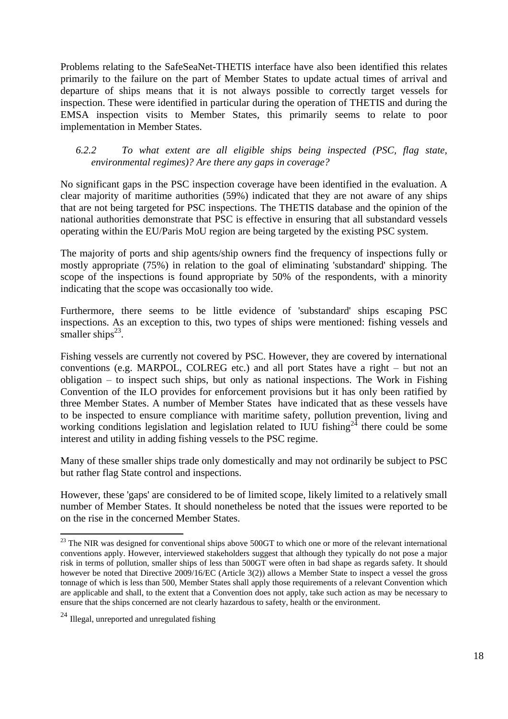Problems relating to the SafeSeaNet-THETIS interface have also been identified this relates primarily to the failure on the part of Member States to update actual times of arrival and departure of ships means that it is not always possible to correctly target vessels for inspection. These were identified in particular during the operation of THETIS and during the EMSA inspection visits to Member States, this primarily seems to relate to poor implementation in Member States.

### <span id="page-17-0"></span>*6.2.2 To what extent are all eligible ships being inspected (PSC, flag state, environmental regimes)? Are there any gaps in coverage?*

No significant gaps in the PSC inspection coverage have been identified in the evaluation. A clear majority of maritime authorities (59%) indicated that they are not aware of any ships that are not being targeted for PSC inspections. The THETIS database and the opinion of the national authorities demonstrate that PSC is effective in ensuring that all substandard vessels operating within the EU/Paris MoU region are being targeted by the existing PSC system.

The majority of ports and ship agents/ship owners find the frequency of inspections fully or mostly appropriate (75%) in relation to the goal of eliminating 'substandard' shipping. The scope of the inspections is found appropriate by 50% of the respondents, with a minority indicating that the scope was occasionally too wide.

Furthermore, there seems to be little evidence of 'substandard' ships escaping PSC inspections. As an exception to this, two types of ships were mentioned: fishing vessels and smaller ships $^{23}$ .

Fishing vessels are currently not covered by PSC. However, they are covered by international conventions (e.g. MARPOL, COLREG etc.) and all port States have a right – but not an obligation  $-$  to inspect such ships, but only as national inspections. The Work in Fishing Convention of the ILO provides for enforcement provisions but it has only been ratified by three Member States. A number of Member States have indicated that as these vessels have to be inspected to ensure compliance with maritime safety, pollution prevention, living and working conditions legislation and legislation related to IUU fishing<sup>24</sup> there could be some interest and utility in adding fishing vessels to the PSC regime.

Many of these smaller ships trade only domestically and may not ordinarily be subject to PSC but rather flag State control and inspections.

However, these 'gaps' are considered to be of limited scope, likely limited to a relatively small number of Member States. It should nonetheless be noted that the issues were reported to be on the rise in the concerned Member States.

 $^{23}$  The NIR was designed for conventional ships above 500GT to which one or more of the relevant international conventions apply. However, interviewed stakeholders suggest that although they typically do not pose a major risk in terms of pollution, smaller ships of less than 500GT were often in bad shape as regards safety. It should however be noted that Directive 2009/16/EC (Article 3(2)) allows a Member State to inspect a vessel the gross tonnage of which is less than 500, Member States shall apply those requirements of a relevant Convention which are applicable and shall, to the extent that a Convention does not apply, take such action as may be necessary to ensure that the ships concerned are not clearly hazardous to safety, health or the environment.

<sup>24</sup> Illegal, unreported and unregulated fishing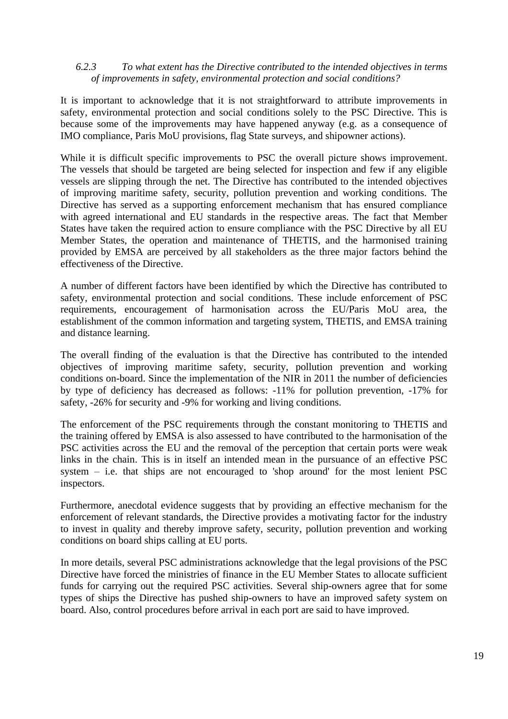#### <span id="page-18-0"></span>*6.2.3 To what extent has the Directive contributed to the intended objectives in terms of improvements in safety, environmental protection and social conditions?*

It is important to acknowledge that it is not straightforward to attribute improvements in safety, environmental protection and social conditions solely to the PSC Directive. This is because some of the improvements may have happened anyway (e.g. as a consequence of IMO compliance, Paris MoU provisions, flag State surveys, and shipowner actions).

While it is difficult specific improvements to PSC the overall picture shows improvement. The vessels that should be targeted are being selected for inspection and few if any eligible vessels are slipping through the net. The Directive has contributed to the intended objectives of improving maritime safety, security, pollution prevention and working conditions. The Directive has served as a supporting enforcement mechanism that has ensured compliance with agreed international and EU standards in the respective areas. The fact that Member States have taken the required action to ensure compliance with the PSC Directive by all EU Member States, the operation and maintenance of THETIS, and the harmonised training provided by EMSA are perceived by all stakeholders as the three major factors behind the effectiveness of the Directive.

A number of different factors have been identified by which the Directive has contributed to safety, environmental protection and social conditions. These include enforcement of PSC requirements, encouragement of harmonisation across the EU/Paris MoU area, the establishment of the common information and targeting system, THETIS, and EMSA training and distance learning.

The overall finding of the evaluation is that the Directive has contributed to the intended objectives of improving maritime safety, security, pollution prevention and working conditions on-board. Since the implementation of the NIR in 2011 the number of deficiencies by type of deficiency has decreased as follows: -11% for pollution prevention, -17% for safety, -26% for security and -9% for working and living conditions.

The enforcement of the PSC requirements through the constant monitoring to THETIS and the training offered by EMSA is also assessed to have contributed to the harmonisation of the PSC activities across the EU and the removal of the perception that certain ports were weak links in the chain. This is in itself an intended mean in the pursuance of an effective PSC system – i.e. that ships are not encouraged to 'shop around' for the most lenient PSC inspectors.

Furthermore, anecdotal evidence suggests that by providing an effective mechanism for the enforcement of relevant standards, the Directive provides a motivating factor for the industry to invest in quality and thereby improve safety, security, pollution prevention and working conditions on board ships calling at EU ports.

In more details, several PSC administrations acknowledge that the legal provisions of the PSC Directive have forced the ministries of finance in the EU Member States to allocate sufficient funds for carrying out the required PSC activities. Several ship-owners agree that for some types of ships the Directive has pushed ship-owners to have an improved safety system on board. Also, control procedures before arrival in each port are said to have improved.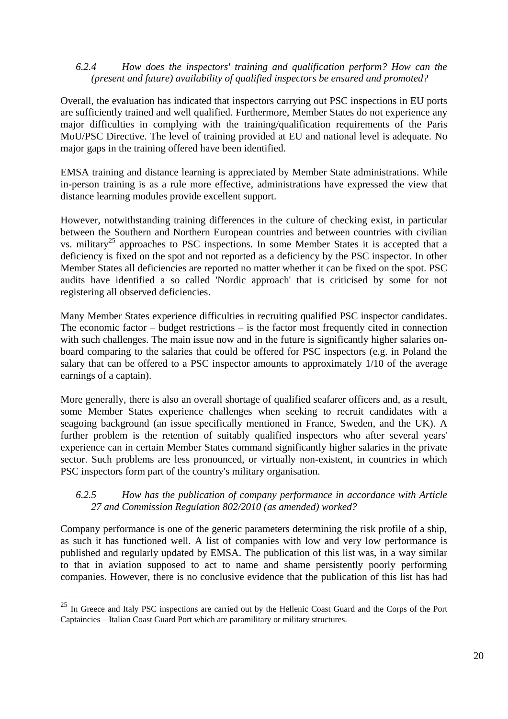#### <span id="page-19-0"></span>*6.2.4 How does the inspectors' training and qualification perform? How can the (present and future) availability of qualified inspectors be ensured and promoted?*

Overall, the evaluation has indicated that inspectors carrying out PSC inspections in EU ports are sufficiently trained and well qualified. Furthermore, Member States do not experience any major difficulties in complying with the training/qualification requirements of the Paris MoU/PSC Directive. The level of training provided at EU and national level is adequate. No major gaps in the training offered have been identified.

EMSA training and distance learning is appreciated by Member State administrations. While in-person training is as a rule more effective, administrations have expressed the view that distance learning modules provide excellent support.

However, notwithstanding training differences in the culture of checking exist, in particular between the Southern and Northern European countries and between countries with civilian vs. military<sup>25</sup> approaches to PSC inspections. In some Member States it is accepted that a deficiency is fixed on the spot and not reported as a deficiency by the PSC inspector. In other Member States all deficiencies are reported no matter whether it can be fixed on the spot. PSC audits have identified a so called 'Nordic approach' that is criticised by some for not registering all observed deficiencies.

Many Member States experience difficulties in recruiting qualified PSC inspector candidates. The economic factor – budget restrictions – is the factor most frequently cited in connection with such challenges. The main issue now and in the future is significantly higher salaries onboard comparing to the salaries that could be offered for PSC inspectors (e.g. in Poland the salary that can be offered to a PSC inspector amounts to approximately 1/10 of the average earnings of a captain).

More generally, there is also an overall shortage of qualified seafarer officers and, as a result, some Member States experience challenges when seeking to recruit candidates with a seagoing background (an issue specifically mentioned in France, Sweden, and the UK). A further problem is the retention of suitably qualified inspectors who after several years' experience can in certain Member States command significantly higher salaries in the private sector. Such problems are less pronounced, or virtually non-existent, in countries in which PSC inspectors form part of the country's military organisation.

### <span id="page-19-1"></span>*6.2.5 How has the publication of company performance in accordance with Article 27 and Commission Regulation 802/2010 (as amended) worked?*

Company performance is one of the generic parameters determining the risk profile of a ship, as such it has functioned well. A list of companies with low and very low performance is published and regularly updated by EMSA. The publication of this list was, in a way similar to that in aviation supposed to act to name and shame persistently poorly performing companies. However, there is no conclusive evidence that the publication of this list has had

<sup>&</sup>lt;sup>25</sup> In Greece and Italy PSC inspections are carried out by the Hellenic Coast Guard and the Corps of the Port Captaincies – Italian Coast Guard Port which are paramilitary or military structures.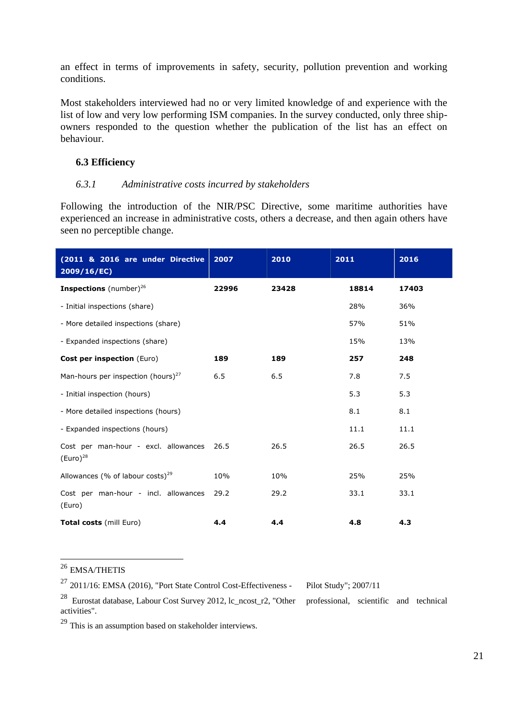an effect in terms of improvements in safety, security, pollution prevention and working conditions.

Most stakeholders interviewed had no or very limited knowledge of and experience with the list of low and very low performing ISM companies. In the survey conducted, only three shipowners responded to the question whether the publication of the list has an effect on behaviour.

#### <span id="page-20-0"></span>**6.3 Efficiency**

#### <span id="page-20-1"></span>*6.3.1 Administrative costs incurred by stakeholders*

Following the introduction of the NIR/PSC Directive, some maritime authorities have experienced an increase in administrative costs, others a decrease, and then again others have seen no perceptible change.

| (2011 & 2016 are under Directive<br>2009/16/EC)       | 2007  | 2010  | 2011  | 2016  |
|-------------------------------------------------------|-------|-------|-------|-------|
| <b>Inspections</b> (number) <sup>26</sup>             | 22996 | 23428 | 18814 | 17403 |
| - Initial inspections (share)                         |       |       | 28%   | 36%   |
| - More detailed inspections (share)                   |       |       | 57%   | 51%   |
| - Expanded inspections (share)                        |       |       | 15%   | 13%   |
| Cost per inspection (Euro)                            | 189   | 189   | 257   | 248   |
| Man-hours per inspection (hours) $^{27}$              | 6.5   | 6.5   | 7.8   | 7.5   |
| - Initial inspection (hours)                          |       |       | 5.3   | 5.3   |
| - More detailed inspections (hours)                   |       |       | 8.1   | 8.1   |
| - Expanded inspections (hours)                        |       |       | 11.1  | 11.1  |
| Cost per man-hour - excl. allowances<br>$(Euro)^{28}$ | 26.5  | 26.5  | 26.5  | 26.5  |
| Allowances (% of labour costs) <sup>29</sup>          | 10%   | 10%   | 25%   | 25%   |
| Cost per man-hour - incl. allowances<br>(Euro)        | 29.2  | 29.2  | 33.1  | 33.1  |
| Total costs (mill Euro)                               | 4.4   | 4.4   | 4.8   | 4.3   |

<sup>26</sup> EMSA/THETIS

**.** 

 $^{27}$  2011/16: EMSA (2016), "Port State Control Cost-Effectiveness - Pilot Study"; 2007/11

<sup>28</sup> Eurostat database, Labour Cost Survey 2012, lc\_ncost\_r2, "Other professional, scientific and technical activities".

 $29$  This is an assumption based on stakeholder interviews.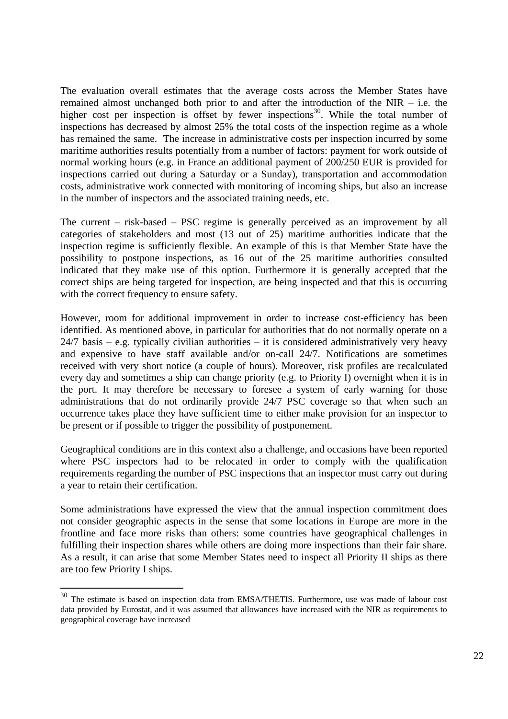The evaluation overall estimates that the average costs across the Member States have remained almost unchanged both prior to and after the introduction of the NIR – i.e. the higher cost per inspection is offset by fewer inspections<sup>30</sup>. While the total number of inspections has decreased by almost 25% the total costs of the inspection regime as a whole has remained the same. The increase in administrative costs per inspection incurred by some maritime authorities results potentially from a number of factors: payment for work outside of normal working hours (e.g. in France an additional payment of 200/250 EUR is provided for inspections carried out during a Saturday or a Sunday), transportation and accommodation costs, administrative work connected with monitoring of incoming ships, but also an increase in the number of inspectors and the associated training needs, etc.

The current – risk-based – PSC regime is generally perceived as an improvement by all categories of stakeholders and most (13 out of 25) maritime authorities indicate that the inspection regime is sufficiently flexible. An example of this is that Member State have the possibility to postpone inspections, as 16 out of the 25 maritime authorities consulted indicated that they make use of this option. Furthermore it is generally accepted that the correct ships are being targeted for inspection, are being inspected and that this is occurring with the correct frequency to ensure safety.

However, room for additional improvement in order to increase cost-efficiency has been identified. As mentioned above, in particular for authorities that do not normally operate on a  $24/7$  basis – e.g. typically civilian authorities – it is considered administratively very heavy and expensive to have staff available and/or on-call 24/7. Notifications are sometimes received with very short notice (a couple of hours). Moreover, risk profiles are recalculated every day and sometimes a ship can change priority (e.g. to Priority I) overnight when it is in the port. It may therefore be necessary to foresee a system of early warning for those administrations that do not ordinarily provide 24/7 PSC coverage so that when such an occurrence takes place they have sufficient time to either make provision for an inspector to be present or if possible to trigger the possibility of postponement.

Geographical conditions are in this context also a challenge, and occasions have been reported where PSC inspectors had to be relocated in order to comply with the qualification requirements regarding the number of PSC inspections that an inspector must carry out during a year to retain their certification.

Some administrations have expressed the view that the annual inspection commitment does not consider geographic aspects in the sense that some locations in Europe are more in the frontline and face more risks than others: some countries have geographical challenges in fulfilling their inspection shares while others are doing more inspections than their fair share. As a result, it can arise that some Member States need to inspect all Priority II ships as there are too few Priority I ships.

1

<sup>&</sup>lt;sup>30</sup> The estimate is based on inspection data from EMSA/THETIS. Furthermore, use was made of labour cost data provided by Eurostat, and it was assumed that allowances have increased with the NIR as requirements to geographical coverage have increased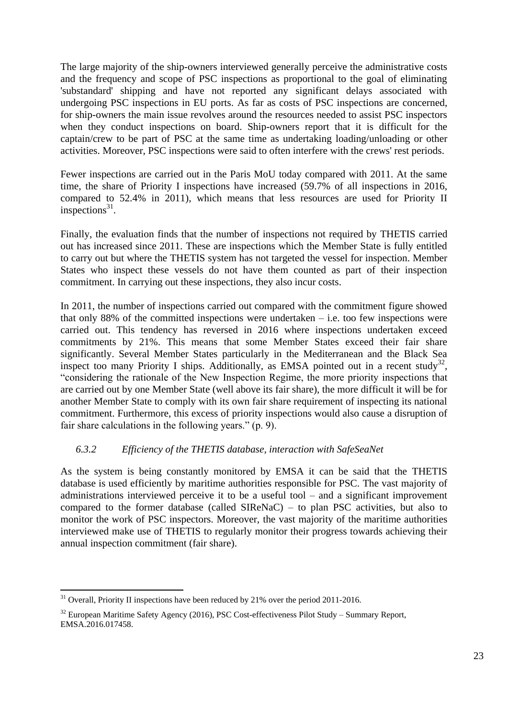The large majority of the ship-owners interviewed generally perceive the administrative costs and the frequency and scope of PSC inspections as proportional to the goal of eliminating 'substandard' shipping and have not reported any significant delays associated with undergoing PSC inspections in EU ports. As far as costs of PSC inspections are concerned, for ship-owners the main issue revolves around the resources needed to assist PSC inspectors when they conduct inspections on board. Ship-owners report that it is difficult for the captain/crew to be part of PSC at the same time as undertaking loading/unloading or other activities. Moreover, PSC inspections were said to often interfere with the crews' rest periods.

Fewer inspections are carried out in the Paris MoU today compared with 2011. At the same time, the share of Priority I inspections have increased (59.7% of all inspections in 2016, compared to 52.4% in 2011), which means that less resources are used for Priority II inspections $31$ .

Finally, the evaluation finds that the number of inspections not required by THETIS carried out has increased since 2011. These are inspections which the Member State is fully entitled to carry out but where the THETIS system has not targeted the vessel for inspection. Member States who inspect these vessels do not have them counted as part of their inspection commitment. In carrying out these inspections, they also incur costs.

In 2011, the number of inspections carried out compared with the commitment figure showed that only 88% of the committed inspections were undertaken  $-$  i.e. too few inspections were carried out. This tendency has reversed in 2016 where inspections undertaken exceed commitments by 21%. This means that some Member States exceed their fair share significantly. Several Member States particularly in the Mediterranean and the Black Sea inspect too many Priority I ships. Additionally, as EMSA pointed out in a recent study<sup>32</sup>, "considering the rationale of the New Inspection Regime, the more priority inspections that are carried out by one Member State (well above its fair share), the more difficult it will be for another Member State to comply with its own fair share requirement of inspecting its national commitment. Furthermore, this excess of priority inspections would also cause a disruption of fair share calculations in the following years." (p. 9).

### <span id="page-22-0"></span>*6.3.2 Efficiency of the THETIS database, interaction with SafeSeaNet*

As the system is being constantly monitored by EMSA it can be said that the THETIS database is used efficiently by maritime authorities responsible for PSC. The vast majority of administrations interviewed perceive it to be a useful tool – and a significant improvement compared to the former database (called  $SIRENaC$ ) – to plan PSC activities, but also to monitor the work of PSC inspectors. Moreover, the vast majority of the maritime authorities interviewed make use of THETIS to regularly monitor their progress towards achieving their annual inspection commitment (fair share).

<sup>1</sup>  $31$  Overall, Priority II inspections have been reduced by 21% over the period 2011-2016.

 $32$  European Maritime Safety Agency (2016), PSC Cost-effectiveness Pilot Study – Summary Report, EMSA.2016.017458.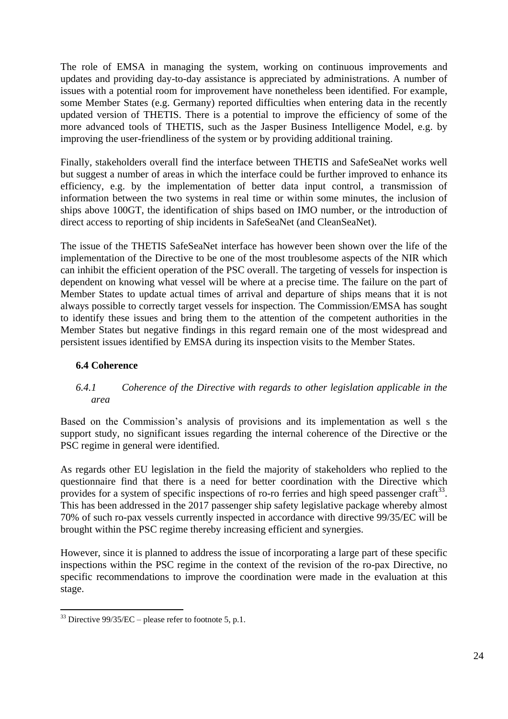The role of EMSA in managing the system, working on continuous improvements and updates and providing day-to-day assistance is appreciated by administrations. A number of issues with a potential room for improvement have nonetheless been identified. For example, some Member States (e.g. Germany) reported difficulties when entering data in the recently updated version of THETIS. There is a potential to improve the efficiency of some of the more advanced tools of THETIS, such as the Jasper Business Intelligence Model, e.g. by improving the user-friendliness of the system or by providing additional training.

Finally, stakeholders overall find the interface between THETIS and SafeSeaNet works well but suggest a number of areas in which the interface could be further improved to enhance its efficiency, e.g. by the implementation of better data input control, a transmission of information between the two systems in real time or within some minutes, the inclusion of ships above 100GT, the identification of ships based on IMO number, or the introduction of direct access to reporting of ship incidents in SafeSeaNet (and CleanSeaNet).

The issue of the THETIS SafeSeaNet interface has however been shown over the life of the implementation of the Directive to be one of the most troublesome aspects of the NIR which can inhibit the efficient operation of the PSC overall. The targeting of vessels for inspection is dependent on knowing what vessel will be where at a precise time. The failure on the part of Member States to update actual times of arrival and departure of ships means that it is not always possible to correctly target vessels for inspection. The Commission/EMSA has sought to identify these issues and bring them to the attention of the competent authorities in the Member States but negative findings in this regard remain one of the most widespread and persistent issues identified by EMSA during its inspection visits to the Member States.

# <span id="page-23-0"></span>**6.4 Coherence**

### <span id="page-23-1"></span>*6.4.1 Coherence of the Directive with regards to other legislation applicable in the area*

Based on the Commission's analysis of provisions and its implementation as well s the support study, no significant issues regarding the internal coherence of the Directive or the PSC regime in general were identified.

As regards other EU legislation in the field the majority of stakeholders who replied to the questionnaire find that there is a need for better coordination with the Directive which provides for a system of specific inspections of ro-ro ferries and high speed passenger craft<sup>33</sup>. This has been addressed in the 2017 passenger ship safety legislative package whereby almost 70% of such ro-pax vessels currently inspected in accordance with directive 99/35/EC will be brought within the PSC regime thereby increasing efficient and synergies.

However, since it is planned to address the issue of incorporating a large part of these specific inspections within the PSC regime in the context of the revision of the ro-pax Directive, no specific recommendations to improve the coordination were made in the evaluation at this stage.

 $33$  Directive 99/35/EC – please refer to footnote 5, p.1.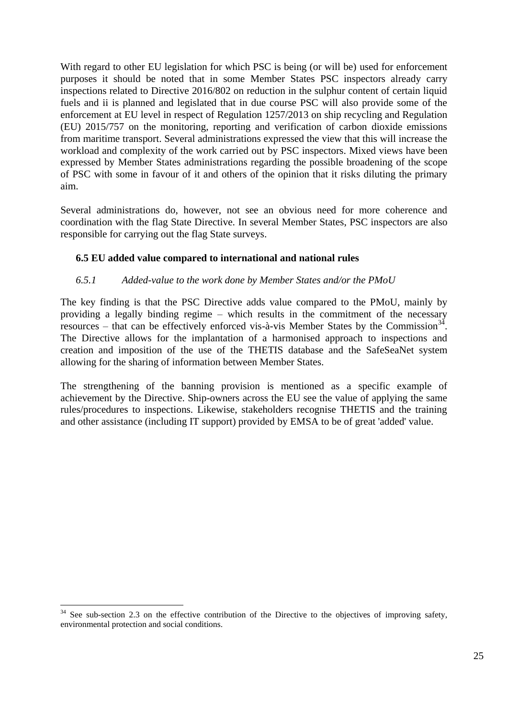With regard to other EU legislation for which PSC is being (or will be) used for enforcement purposes it should be noted that in some Member States PSC inspectors already carry inspections related to Directive 2016/802 on reduction in the sulphur content of certain liquid fuels and ii is planned and legislated that in due course PSC will also provide some of the enforcement at EU level in respect of Regulation 1257/2013 on ship recycling and Regulation (EU) 2015/757 on the monitoring, reporting and verification of carbon dioxide emissions from maritime transport. Several administrations expressed the view that this will increase the workload and complexity of the work carried out by PSC inspectors. Mixed views have been expressed by Member States administrations regarding the possible broadening of the scope of PSC with some in favour of it and others of the opinion that it risks diluting the primary aim.

Several administrations do, however, not see an obvious need for more coherence and coordination with the flag State Directive. In several Member States, PSC inspectors are also responsible for carrying out the flag State surveys.

### <span id="page-24-0"></span>**6.5 EU added value compared to international and national rules**

### <span id="page-24-1"></span>*6.5.1 Added-value to the work done by Member States and/or the PMoU*

The key finding is that the PSC Directive adds value compared to the PMoU, mainly by providing a legally binding regime – which results in the commitment of the necessary resources – that can be effectively enforced vis-à-vis Member States by the Commission<sup>34</sup>. The Directive allows for the implantation of a harmonised approach to inspections and creation and imposition of the use of the THETIS database and the SafeSeaNet system allowing for the sharing of information between Member States.

The strengthening of the banning provision is mentioned as a specific example of achievement by the Directive. Ship-owners across the EU see the value of applying the same rules/procedures to inspections. Likewise, stakeholders recognise THETIS and the training and other assistance (including IT support) provided by EMSA to be of great 'added' value.

**<sup>.</sup>**  $34$  See sub-section 2.3 on the effective contribution of the Directive to the objectives of improving safety, environmental protection and social conditions.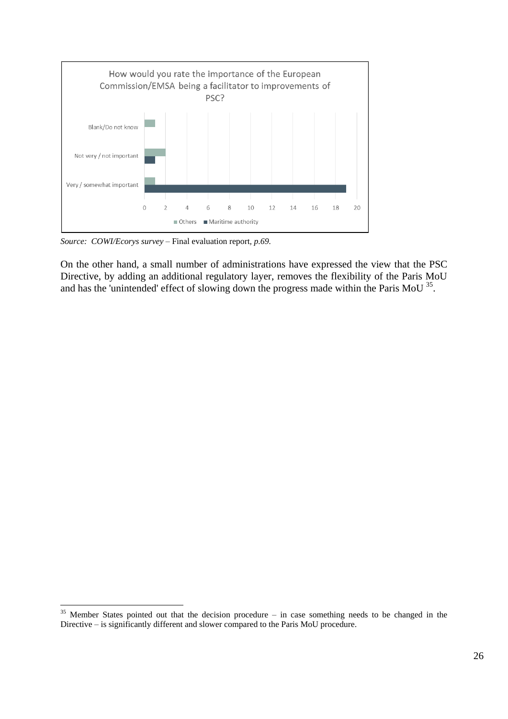

*Source: COWI/Ecorys survey –* Final evaluation report*, p.69.*

**.** 

On the other hand, a small number of administrations have expressed the view that the PSC Directive, by adding an additional regulatory layer, removes the flexibility of the Paris MoU and has the 'unintended' effect of slowing down the progress made within the Paris MoU<sup>35</sup>.

 $35$  Member States pointed out that the decision procedure – in case something needs to be changed in the Directive – is significantly different and slower compared to the Paris MoU procedure.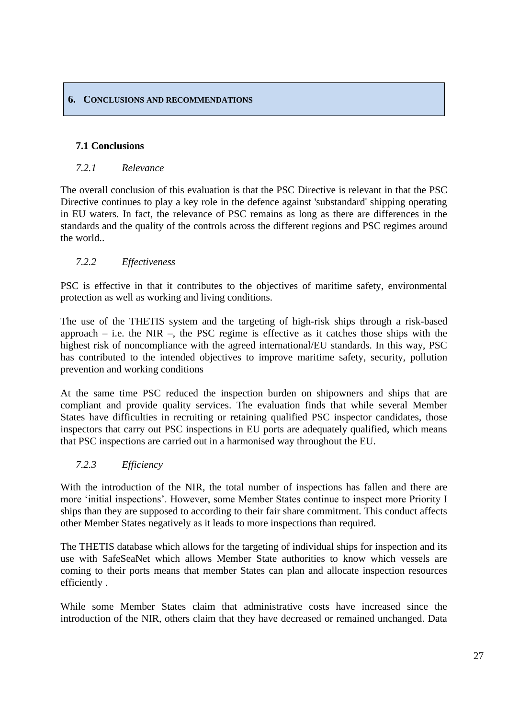#### <span id="page-26-0"></span>**6. CONCLUSIONS AND RECOMMENDATIONS**

#### <span id="page-26-1"></span>**7.1 Conclusions**

#### <span id="page-26-2"></span>*7.2.1 Relevance*

The overall conclusion of this evaluation is that the PSC Directive is relevant in that the PSC Directive continues to play a key role in the defence against 'substandard' shipping operating in EU waters. In fact, the relevance of PSC remains as long as there are differences in the standards and the quality of the controls across the different regions and PSC regimes around the world..

#### *7.2.2 Effectiveness*

PSC is effective in that it contributes to the objectives of maritime safety, environmental protection as well as working and living conditions.

The use of the THETIS system and the targeting of high-risk ships through a risk-based approach – i.e. the NIR –, the PSC regime is effective as it catches those ships with the highest risk of noncompliance with the agreed international/EU standards. In this way, PSC has contributed to the intended objectives to improve maritime safety, security, pollution prevention and working conditions

At the same time PSC reduced the inspection burden on shipowners and ships that are compliant and provide quality services. The evaluation finds that while several Member States have difficulties in recruiting or retaining qualified PSC inspector candidates, those inspectors that carry out PSC inspections in EU ports are adequately qualified, which means that PSC inspections are carried out in a harmonised way throughout the EU.

### <span id="page-26-3"></span>*7.2.3 Efficiency*

With the introduction of the NIR, the total number of inspections has fallen and there are more 'initial inspections'. However, some Member States continue to inspect more Priority I ships than they are supposed to according to their fair share commitment. This conduct affects other Member States negatively as it leads to more inspections than required.

The THETIS database which allows for the targeting of individual ships for inspection and its use with SafeSeaNet which allows Member State authorities to know which vessels are coming to their ports means that member States can plan and allocate inspection resources efficiently .

While some Member States claim that administrative costs have increased since the introduction of the NIR, others claim that they have decreased or remained unchanged. Data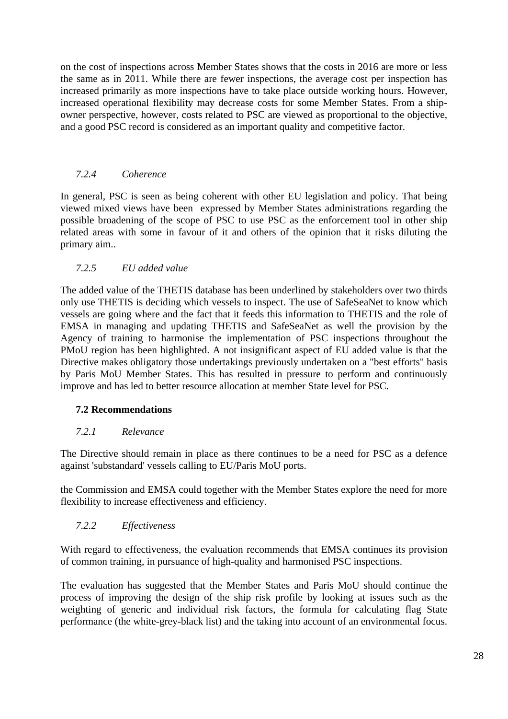on the cost of inspections across Member States shows that the costs in 2016 are more or less the same as in 2011. While there are fewer inspections, the average cost per inspection has increased primarily as more inspections have to take place outside working hours. However, increased operational flexibility may decrease costs for some Member States. From a shipowner perspective, however, costs related to PSC are viewed as proportional to the objective, and a good PSC record is considered as an important quality and competitive factor.

# <span id="page-27-0"></span>*7.2.4 Coherence*

In general, PSC is seen as being coherent with other EU legislation and policy. That being viewed mixed views have been expressed by Member States administrations regarding the possible broadening of the scope of PSC to use PSC as the enforcement tool in other ship related areas with some in favour of it and others of the opinion that it risks diluting the primary aim..

### <span id="page-27-1"></span>*7.2.5 EU added value*

The added value of the THETIS database has been underlined by stakeholders over two thirds only use THETIS is deciding which vessels to inspect. The use of SafeSeaNet to know which vessels are going where and the fact that it feeds this information to THETIS and the role of EMSA in managing and updating THETIS and SafeSeaNet as well the provision by the Agency of training to harmonise the implementation of PSC inspections throughout the PMoU region has been highlighted. A not insignificant aspect of EU added value is that the Directive makes obligatory those undertakings previously undertaken on a "best efforts" basis by Paris MoU Member States. This has resulted in pressure to perform and continuously improve and has led to better resource allocation at member State level for PSC.

### <span id="page-27-2"></span>**7.2 Recommendations**

### <span id="page-27-3"></span>*7.2.1 Relevance*

The Directive should remain in place as there continues to be a need for PSC as a defence against 'substandard' vessels calling to EU/Paris MoU ports.

the Commission and EMSA could together with the Member States explore the need for more flexibility to increase effectiveness and efficiency.

### *7.2.2 Effectiveness*

With regard to effectiveness, the evaluation recommends that EMSA continues its provision of common training, in pursuance of high-quality and harmonised PSC inspections.

The evaluation has suggested that the Member States and Paris MoU should continue the process of improving the design of the ship risk profile by looking at issues such as the weighting of generic and individual risk factors, the formula for calculating flag State performance (the white-grey-black list) and the taking into account of an environmental focus.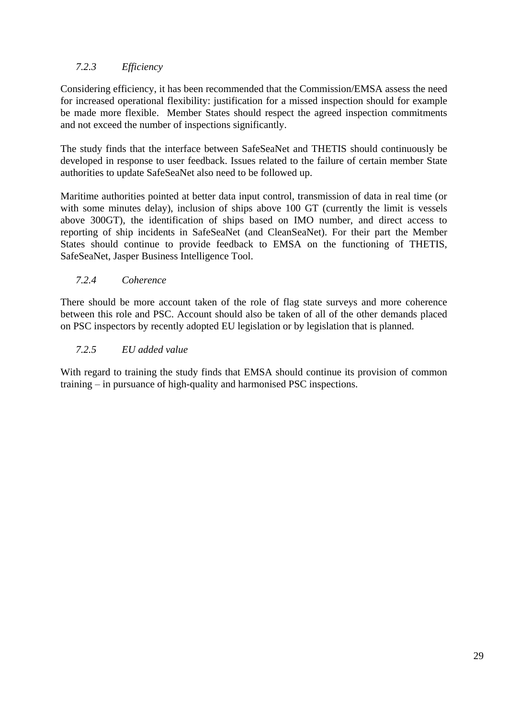# <span id="page-28-0"></span>*7.2.3 Efficiency*

Considering efficiency, it has been recommended that the Commission/EMSA assess the need for increased operational flexibility: justification for a missed inspection should for example be made more flexible. Member States should respect the agreed inspection commitments and not exceed the number of inspections significantly.

The study finds that the interface between SafeSeaNet and THETIS should continuously be developed in response to user feedback. Issues related to the failure of certain member State authorities to update SafeSeaNet also need to be followed up.

Maritime authorities pointed at better data input control, transmission of data in real time (or with some minutes delay), inclusion of ships above 100 GT (currently the limit is vessels above 300GT), the identification of ships based on IMO number, and direct access to reporting of ship incidents in SafeSeaNet (and CleanSeaNet). For their part the Member States should continue to provide feedback to EMSA on the functioning of THETIS, SafeSeaNet, Jasper Business Intelligence Tool.

# <span id="page-28-1"></span>*7.2.4 Coherence*

There should be more account taken of the role of flag state surveys and more coherence between this role and PSC. Account should also be taken of all of the other demands placed on PSC inspectors by recently adopted EU legislation or by legislation that is planned.

# <span id="page-28-2"></span>*7.2.5 EU added value*

With regard to training the study finds that EMSA should continue its provision of common training – in pursuance of high-quality and harmonised PSC inspections.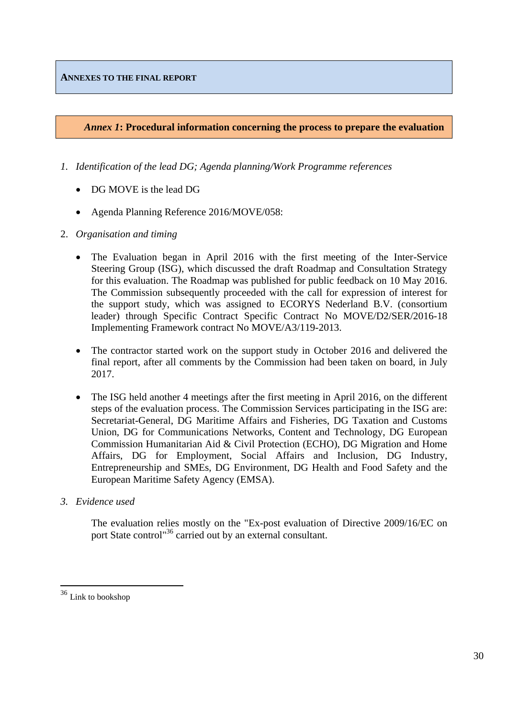#### <span id="page-29-0"></span>**ANNEXES TO THE FINAL REPORT**

#### <span id="page-29-1"></span>*Annex 1***: Procedural information concerning the process to prepare the evaluation**

- *1. Identification of the lead DG; Agenda planning/Work Programme references*
	- DG MOVE is the lead DG
	- Agenda Planning Reference 2016/MOVE/058:
- 2. *Organisation and timing*
	- The Evaluation began in April 2016 with the first meeting of the Inter-Service Steering Group (ISG), which discussed the draft Roadmap and Consultation Strategy for this evaluation. The Roadmap was published for public feedback on 10 May 2016. The Commission subsequently proceeded with the call for expression of interest for the support study, which was assigned to ECORYS Nederland B.V. (consortium leader) through Specific Contract Specific Contract No MOVE/D2/SER/2016-18 Implementing Framework contract No MOVE/A3/119-2013.
	- The contractor started work on the support study in October 2016 and delivered the final report, after all comments by the Commission had been taken on board, in July 2017.
	- The ISG held another 4 meetings after the first meeting in April 2016, on the different steps of the evaluation process. The Commission Services participating in the ISG are: Secretariat-General, DG Maritime Affairs and Fisheries, DG Taxation and Customs Union, DG for Communications Networks, Content and Technology, DG European Commission Humanitarian Aid & Civil Protection (ECHO), DG Migration and Home Affairs, DG for Employment, Social Affairs and Inclusion, DG Industry, Entrepreneurship and SMEs, DG Environment, DG Health and Food Safety and the European Maritime Safety Agency (EMSA).
- *3. Evidence used*

The evaluation relies mostly on the "Ex-post evaluation of Directive 2009/16/EC on port State control<sup>136</sup> carried out by an external consultant.

 $36$  Link to bookshop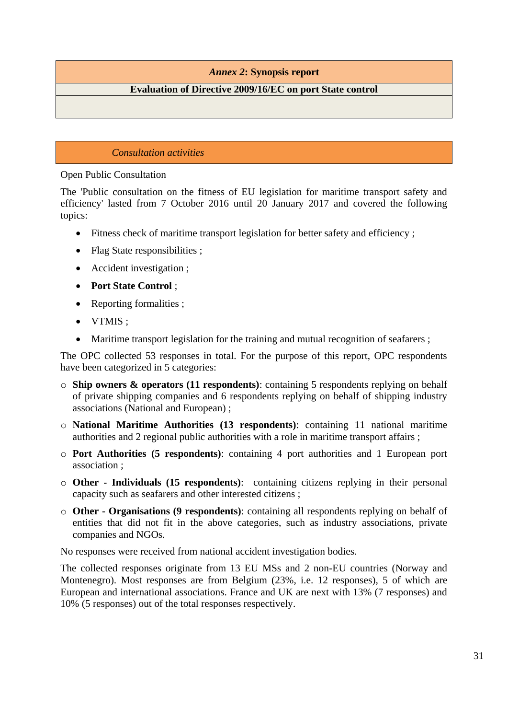### *Annex 2***: Synopsis report**

#### <span id="page-30-0"></span>**Evaluation of Directive 2009/16/EC on port State control**

#### *Consultation activities*

<span id="page-30-1"></span>Open Public Consultation

The 'Public consultation on the fitness of EU legislation for maritime transport safety and efficiency' lasted from 7 October 2016 until 20 January 2017 and covered the following topics:

- Fitness check of maritime transport legislation for better safety and efficiency ;
- Flag State responsibilities ;
- Accident investigation :
- **Port State Control** ;
- Reporting formalities ;
- VTMIS:
- Maritime transport legislation for the training and mutual recognition of seafarers;

The OPC collected 53 responses in total. For the purpose of this report, OPC respondents have been categorized in 5 categories:

- o **Ship owners & operators (11 respondents)**: containing 5 respondents replying on behalf of private shipping companies and 6 respondents replying on behalf of shipping industry associations (National and European) ;
- o **National Maritime Authorities (13 respondents)**: containing 11 national maritime authorities and 2 regional public authorities with a role in maritime transport affairs ;
- o **Port Authorities (5 respondents)**: containing 4 port authorities and 1 European port association ;
- o **Other - Individuals (15 respondents)**: containing citizens replying in their personal capacity such as seafarers and other interested citizens ;
- o **Other - Organisations (9 respondents)**: containing all respondents replying on behalf of entities that did not fit in the above categories, such as industry associations, private companies and NGOs.

No responses were received from national accident investigation bodies.

The collected responses originate from 13 EU MSs and 2 non-EU countries (Norway and Montenegro). Most responses are from Belgium (23%, i.e. 12 responses), 5 of which are European and international associations. France and UK are next with 13% (7 responses) and 10% (5 responses) out of the total responses respectively.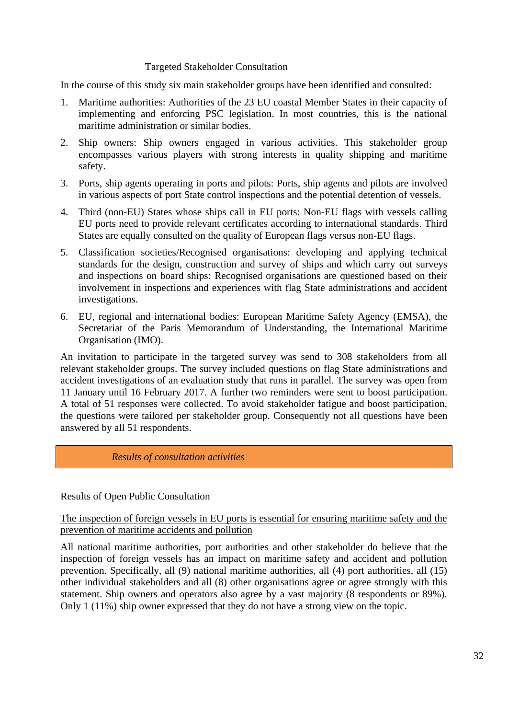#### Targeted Stakeholder Consultation

In the course of this study six main stakeholder groups have been identified and consulted:

- 1. Maritime authorities: Authorities of the 23 EU coastal Member States in their capacity of implementing and enforcing PSC legislation. In most countries, this is the national maritime administration or similar bodies.
- 2. Ship owners: Ship owners engaged in various activities. This stakeholder group encompasses various players with strong interests in quality shipping and maritime safety.
- 3. Ports, ship agents operating in ports and pilots: Ports, ship agents and pilots are involved in various aspects of port State control inspections and the potential detention of vessels.
- 4. Third (non-EU) States whose ships call in EU ports: Non-EU flags with vessels calling EU ports need to provide relevant certificates according to international standards. Third States are equally consulted on the quality of European flags versus non-EU flags.
- 5. Classification societies/Recognised organisations: developing and applying technical standards for the design, construction and survey of ships and which carry out surveys and inspections on board ships: Recognised organisations are questioned based on their involvement in inspections and experiences with flag State administrations and accident investigations.
- 6. EU, regional and international bodies: European Maritime Safety Agency (EMSA), the Secretariat of the Paris Memorandum of Understanding, the International Maritime Organisation (IMO).

An invitation to participate in the targeted survey was send to 308 stakeholders from all relevant stakeholder groups. The survey included questions on flag State administrations and accident investigations of an evaluation study that runs in parallel. The survey was open from 11 January until 16 February 2017. A further two reminders were sent to boost participation. A total of 51 responses were collected. To avoid stakeholder fatigue and boost participation, the questions were tailored per stakeholder group. Consequently not all questions have been answered by all 51 respondents.

*Results of consultation activities*

<span id="page-31-0"></span>Results of Open Public Consultation

The inspection of foreign vessels in EU ports is essential for ensuring maritime safety and the prevention of maritime accidents and pollution

All national maritime authorities, port authorities and other stakeholder do believe that the inspection of foreign vessels has an impact on maritime safety and accident and pollution prevention. Specifically, all (9) national maritime authorities, all (4) port authorities, all (15) other individual stakeholders and all (8) other organisations agree or agree strongly with this statement. Ship owners and operators also agree by a vast majority (8 respondents or 89%). Only 1 (11%) ship owner expressed that they do not have a strong view on the topic.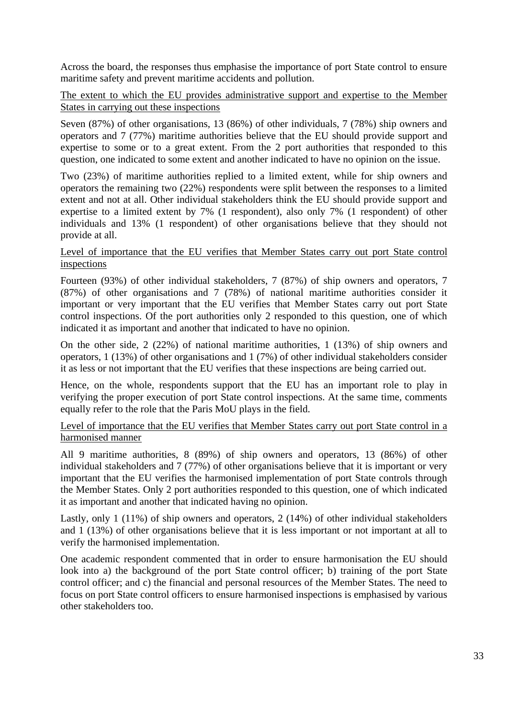Across the board, the responses thus emphasise the importance of port State control to ensure maritime safety and prevent maritime accidents and pollution.

The extent to which the EU provides administrative support and expertise to the Member States in carrying out these inspections

Seven (87%) of other organisations, 13 (86%) of other individuals, 7 (78%) ship owners and operators and 7 (77%) maritime authorities believe that the EU should provide support and expertise to some or to a great extent. From the 2 port authorities that responded to this question, one indicated to some extent and another indicated to have no opinion on the issue.

Two (23%) of maritime authorities replied to a limited extent, while for ship owners and operators the remaining two (22%) respondents were split between the responses to a limited extent and not at all. Other individual stakeholders think the EU should provide support and expertise to a limited extent by 7% (1 respondent), also only 7% (1 respondent) of other individuals and 13% (1 respondent) of other organisations believe that they should not provide at all.

#### Level of importance that the EU verifies that Member States carry out port State control inspections

Fourteen (93%) of other individual stakeholders, 7 (87%) of ship owners and operators, 7 (87%) of other organisations and 7 (78%) of national maritime authorities consider it important or very important that the EU verifies that Member States carry out port State control inspections. Of the port authorities only 2 responded to this question, one of which indicated it as important and another that indicated to have no opinion.

On the other side, 2 (22%) of national maritime authorities, 1 (13%) of ship owners and operators, 1 (13%) of other organisations and 1 (7%) of other individual stakeholders consider it as less or not important that the EU verifies that these inspections are being carried out.

Hence, on the whole, respondents support that the EU has an important role to play in verifying the proper execution of port State control inspections. At the same time, comments equally refer to the role that the Paris MoU plays in the field.

#### Level of importance that the EU verifies that Member States carry out port State control in a harmonised manner

All 9 maritime authorities, 8 (89%) of ship owners and operators, 13 (86%) of other individual stakeholders and 7 (77%) of other organisations believe that it is important or very important that the EU verifies the harmonised implementation of port State controls through the Member States. Only 2 port authorities responded to this question, one of which indicated it as important and another that indicated having no opinion.

Lastly, only 1 (11%) of ship owners and operators, 2 (14%) of other individual stakeholders and 1 (13%) of other organisations believe that it is less important or not important at all to verify the harmonised implementation.

One academic respondent commented that in order to ensure harmonisation the EU should look into a) the background of the port State control officer; b) training of the port State control officer; and c) the financial and personal resources of the Member States. The need to focus on port State control officers to ensure harmonised inspections is emphasised by various other stakeholders too.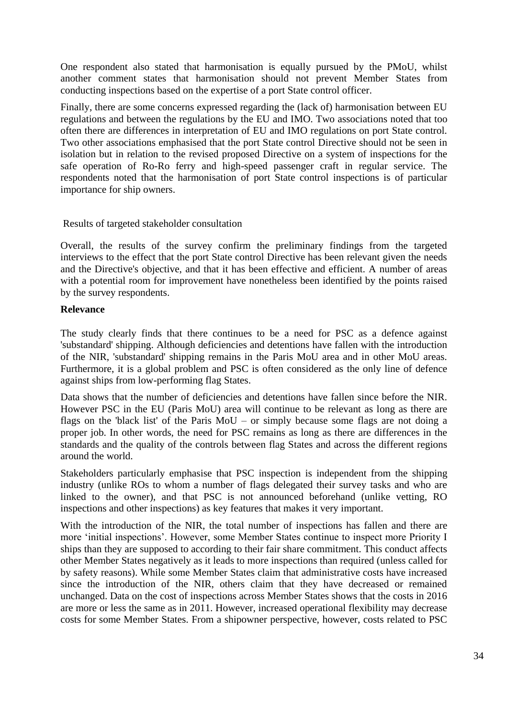One respondent also stated that harmonisation is equally pursued by the PMoU, whilst another comment states that harmonisation should not prevent Member States from conducting inspections based on the expertise of a port State control officer.

Finally, there are some concerns expressed regarding the (lack of) harmonisation between EU regulations and between the regulations by the EU and IMO. Two associations noted that too often there are differences in interpretation of EU and IMO regulations on port State control. Two other associations emphasised that the port State control Directive should not be seen in isolation but in relation to the revised proposed Directive on a system of inspections for the safe operation of Ro-Ro ferry and high-speed passenger craft in regular service. The respondents noted that the harmonisation of port State control inspections is of particular importance for ship owners.

#### Results of targeted stakeholder consultation

Overall, the results of the survey confirm the preliminary findings from the targeted interviews to the effect that the port State control Directive has been relevant given the needs and the Directive's objective, and that it has been effective and efficient. A number of areas with a potential room for improvement have nonetheless been identified by the points raised by the survey respondents.

#### **Relevance**

The study clearly finds that there continues to be a need for PSC as a defence against 'substandard' shipping. Although deficiencies and detentions have fallen with the introduction of the NIR, 'substandard' shipping remains in the Paris MoU area and in other MoU areas. Furthermore, it is a global problem and PSC is often considered as the only line of defence against ships from low-performing flag States.

Data shows that the number of deficiencies and detentions have fallen since before the NIR. However PSC in the EU (Paris MoU) area will continue to be relevant as long as there are flags on the 'black list' of the Paris  $M_0U -$  or simply because some flags are not doing a proper job. In other words, the need for PSC remains as long as there are differences in the standards and the quality of the controls between flag States and across the different regions around the world.

Stakeholders particularly emphasise that PSC inspection is independent from the shipping industry (unlike ROs to whom a number of flags delegated their survey tasks and who are linked to the owner), and that PSC is not announced beforehand (unlike vetting, RO inspections and other inspections) as key features that makes it very important.

With the introduction of the NIR, the total number of inspections has fallen and there are more 'initial inspections'. However, some Member States continue to inspect more Priority I ships than they are supposed to according to their fair share commitment. This conduct affects other Member States negatively as it leads to more inspections than required (unless called for by safety reasons). While some Member States claim that administrative costs have increased since the introduction of the NIR, others claim that they have decreased or remained unchanged. Data on the cost of inspections across Member States shows that the costs in 2016 are more or less the same as in 2011. However, increased operational flexibility may decrease costs for some Member States. From a shipowner perspective, however, costs related to PSC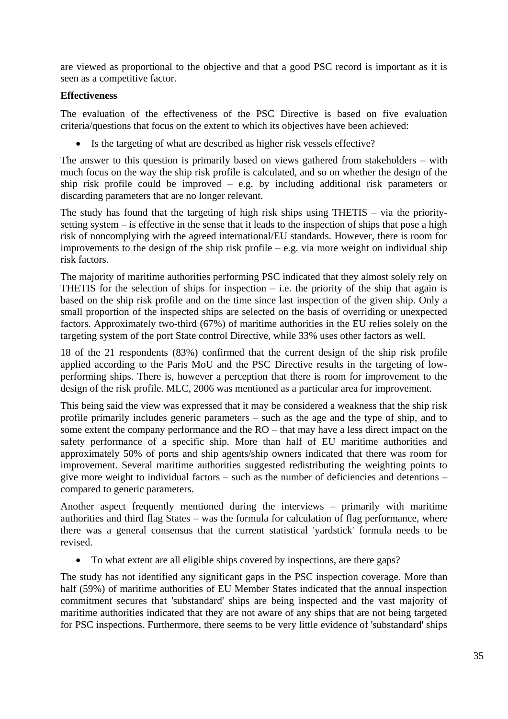are viewed as proportional to the objective and that a good PSC record is important as it is seen as a competitive factor.

#### **Effectiveness**

The evaluation of the effectiveness of the PSC Directive is based on five evaluation criteria/questions that focus on the extent to which its objectives have been achieved:

Is the targeting of what are described as higher risk vessels effective?

The answer to this question is primarily based on views gathered from stakeholders – with much focus on the way the ship risk profile is calculated, and so on whether the design of the ship risk profile could be improved – e.g. by including additional risk parameters or discarding parameters that are no longer relevant.

The study has found that the targeting of high risk ships using THETIS – via the prioritysetting system – is effective in the sense that it leads to the inspection of ships that pose a high risk of noncomplying with the agreed international/EU standards. However, there is room for improvements to the design of the ship risk profile – e.g. via more weight on individual ship risk factors.

The majority of maritime authorities performing PSC indicated that they almost solely rely on THETIS for the selection of ships for inspection  $-$  i.e. the priority of the ship that again is based on the ship risk profile and on the time since last inspection of the given ship. Only a small proportion of the inspected ships are selected on the basis of overriding or unexpected factors. Approximately two-third (67%) of maritime authorities in the EU relies solely on the targeting system of the port State control Directive, while 33% uses other factors as well.

18 of the 21 respondents (83%) confirmed that the current design of the ship risk profile applied according to the Paris MoU and the PSC Directive results in the targeting of lowperforming ships. There is, however a perception that there is room for improvement to the design of the risk profile. MLC, 2006 was mentioned as a particular area for improvement.

This being said the view was expressed that it may be considered a weakness that the ship risk profile primarily includes generic parameters – such as the age and the type of ship, and to some extent the company performance and the RO – that may have a less direct impact on the safety performance of a specific ship. More than half of EU maritime authorities and approximately 50% of ports and ship agents/ship owners indicated that there was room for improvement. Several maritime authorities suggested redistributing the weighting points to give more weight to individual factors – such as the number of deficiencies and detentions – compared to generic parameters.

Another aspect frequently mentioned during the interviews – primarily with maritime authorities and third flag States – was the formula for calculation of flag performance, where there was a general consensus that the current statistical 'yardstick' formula needs to be revised.

• To what extent are all eligible ships covered by inspections, are there gaps?

The study has not identified any significant gaps in the PSC inspection coverage. More than half (59%) of maritime authorities of EU Member States indicated that the annual inspection commitment secures that 'substandard' ships are being inspected and the vast majority of maritime authorities indicated that they are not aware of any ships that are not being targeted for PSC inspections. Furthermore, there seems to be very little evidence of 'substandard' ships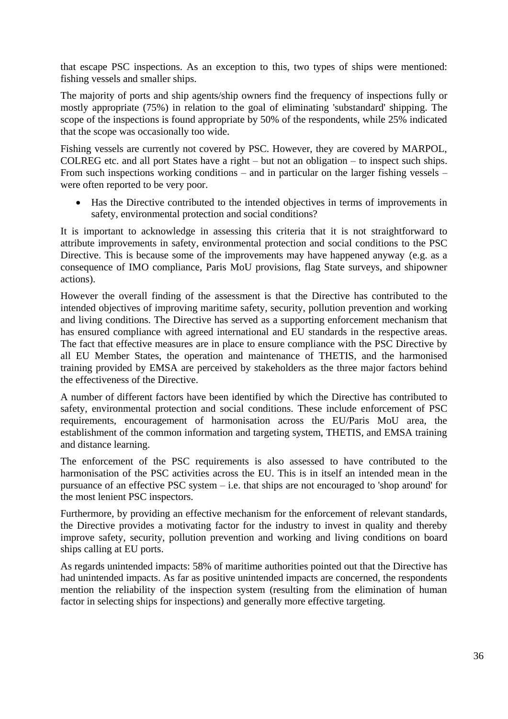that escape PSC inspections. As an exception to this, two types of ships were mentioned: fishing vessels and smaller ships.

The majority of ports and ship agents/ship owners find the frequency of inspections fully or mostly appropriate (75%) in relation to the goal of eliminating 'substandard' shipping. The scope of the inspections is found appropriate by 50% of the respondents, while 25% indicated that the scope was occasionally too wide.

Fishing vessels are currently not covered by PSC. However, they are covered by MARPOL, COLREG etc. and all port States have a right – but not an obligation – to inspect such ships. From such inspections working conditions – and in particular on the larger fishing vessels – were often reported to be very poor.

 Has the Directive contributed to the intended objectives in terms of improvements in safety, environmental protection and social conditions?

It is important to acknowledge in assessing this criteria that it is not straightforward to attribute improvements in safety, environmental protection and social conditions to the PSC Directive. This is because some of the improvements may have happened anyway (e.g. as a consequence of IMO compliance, Paris MoU provisions, flag State surveys, and shipowner actions).

However the overall finding of the assessment is that the Directive has contributed to the intended objectives of improving maritime safety, security, pollution prevention and working and living conditions. The Directive has served as a supporting enforcement mechanism that has ensured compliance with agreed international and EU standards in the respective areas. The fact that effective measures are in place to ensure compliance with the PSC Directive by all EU Member States, the operation and maintenance of THETIS, and the harmonised training provided by EMSA are perceived by stakeholders as the three major factors behind the effectiveness of the Directive.

A number of different factors have been identified by which the Directive has contributed to safety, environmental protection and social conditions. These include enforcement of PSC requirements, encouragement of harmonisation across the EU/Paris MoU area, the establishment of the common information and targeting system, THETIS, and EMSA training and distance learning.

The enforcement of the PSC requirements is also assessed to have contributed to the harmonisation of the PSC activities across the EU. This is in itself an intended mean in the pursuance of an effective PSC system – i.e. that ships are not encouraged to 'shop around' for the most lenient PSC inspectors.

Furthermore, by providing an effective mechanism for the enforcement of relevant standards, the Directive provides a motivating factor for the industry to invest in quality and thereby improve safety, security, pollution prevention and working and living conditions on board ships calling at EU ports.

As regards unintended impacts: 58% of maritime authorities pointed out that the Directive has had unintended impacts. As far as positive unintended impacts are concerned, the respondents mention the reliability of the inspection system (resulting from the elimination of human factor in selecting ships for inspections) and generally more effective targeting.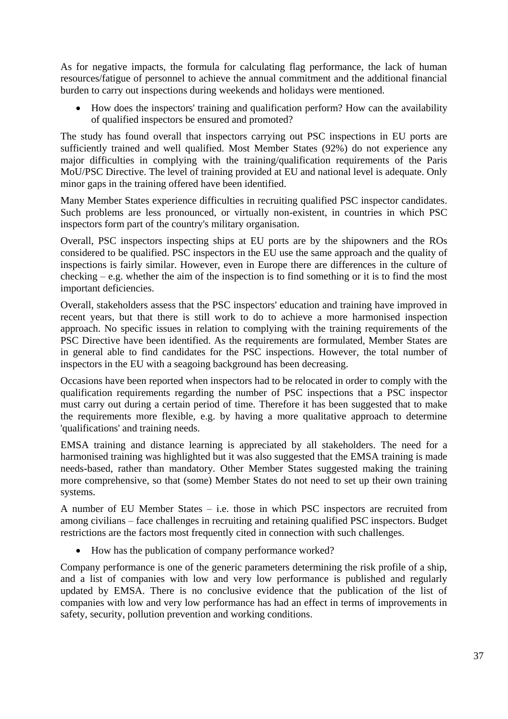As for negative impacts, the formula for calculating flag performance, the lack of human resources/fatigue of personnel to achieve the annual commitment and the additional financial burden to carry out inspections during weekends and holidays were mentioned.

• How does the inspectors' training and qualification perform? How can the availability of qualified inspectors be ensured and promoted?

The study has found overall that inspectors carrying out PSC inspections in EU ports are sufficiently trained and well qualified. Most Member States (92%) do not experience any major difficulties in complying with the training/qualification requirements of the Paris MoU/PSC Directive. The level of training provided at EU and national level is adequate. Only minor gaps in the training offered have been identified.

Many Member States experience difficulties in recruiting qualified PSC inspector candidates. Such problems are less pronounced, or virtually non-existent, in countries in which PSC inspectors form part of the country's military organisation.

Overall, PSC inspectors inspecting ships at EU ports are by the shipowners and the ROs considered to be qualified. PSC inspectors in the EU use the same approach and the quality of inspections is fairly similar. However, even in Europe there are differences in the culture of checking – e.g. whether the aim of the inspection is to find something or it is to find the most important deficiencies.

Overall, stakeholders assess that the PSC inspectors' education and training have improved in recent years, but that there is still work to do to achieve a more harmonised inspection approach. No specific issues in relation to complying with the training requirements of the PSC Directive have been identified. As the requirements are formulated, Member States are in general able to find candidates for the PSC inspections. However, the total number of inspectors in the EU with a seagoing background has been decreasing.

Occasions have been reported when inspectors had to be relocated in order to comply with the qualification requirements regarding the number of PSC inspections that a PSC inspector must carry out during a certain period of time. Therefore it has been suggested that to make the requirements more flexible, e.g. by having a more qualitative approach to determine 'qualifications' and training needs.

EMSA training and distance learning is appreciated by all stakeholders. The need for a harmonised training was highlighted but it was also suggested that the EMSA training is made needs-based, rather than mandatory. Other Member States suggested making the training more comprehensive, so that (some) Member States do not need to set up their own training systems.

A number of EU Member States – i.e. those in which PSC inspectors are recruited from among civilians – face challenges in recruiting and retaining qualified PSC inspectors. Budget restrictions are the factors most frequently cited in connection with such challenges.

• How has the publication of company performance worked?

Company performance is one of the generic parameters determining the risk profile of a ship, and a list of companies with low and very low performance is published and regularly updated by EMSA. There is no conclusive evidence that the publication of the list of companies with low and very low performance has had an effect in terms of improvements in safety, security, pollution prevention and working conditions.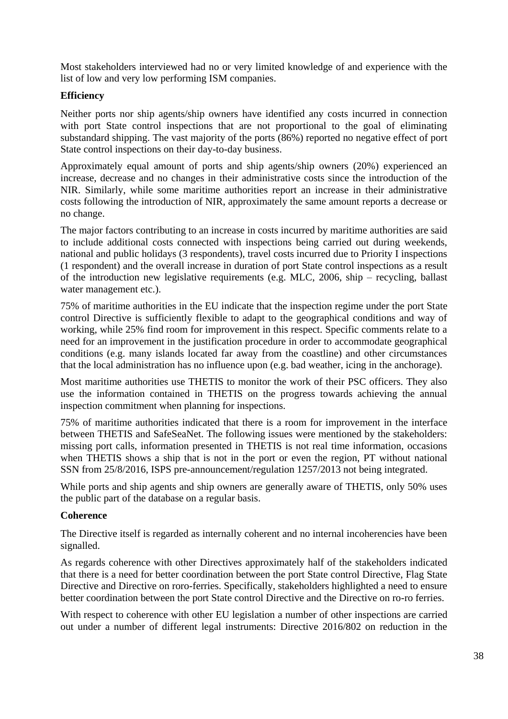Most stakeholders interviewed had no or very limited knowledge of and experience with the list of low and very low performing ISM companies.

# **Efficiency**

Neither ports nor ship agents/ship owners have identified any costs incurred in connection with port State control inspections that are not proportional to the goal of eliminating substandard shipping. The vast majority of the ports (86%) reported no negative effect of port State control inspections on their day-to-day business.

Approximately equal amount of ports and ship agents/ship owners (20%) experienced an increase, decrease and no changes in their administrative costs since the introduction of the NIR. Similarly, while some maritime authorities report an increase in their administrative costs following the introduction of NIR, approximately the same amount reports a decrease or no change.

The major factors contributing to an increase in costs incurred by maritime authorities are said to include additional costs connected with inspections being carried out during weekends, national and public holidays (3 respondents), travel costs incurred due to Priority I inspections (1 respondent) and the overall increase in duration of port State control inspections as a result of the introduction new legislative requirements (e.g. MLC, 2006, ship – recycling, ballast water management etc.).

75% of maritime authorities in the EU indicate that the inspection regime under the port State control Directive is sufficiently flexible to adapt to the geographical conditions and way of working, while 25% find room for improvement in this respect. Specific comments relate to a need for an improvement in the justification procedure in order to accommodate geographical conditions (e.g. many islands located far away from the coastline) and other circumstances that the local administration has no influence upon (e.g. bad weather, icing in the anchorage).

Most maritime authorities use THETIS to monitor the work of their PSC officers. They also use the information contained in THETIS on the progress towards achieving the annual inspection commitment when planning for inspections.

75% of maritime authorities indicated that there is a room for improvement in the interface between THETIS and SafeSeaNet. The following issues were mentioned by the stakeholders: missing port calls, information presented in THETIS is not real time information, occasions when THETIS shows a ship that is not in the port or even the region, PT without national SSN from 25/8/2016, ISPS pre-announcement/regulation 1257/2013 not being integrated.

While ports and ship agents and ship owners are generally aware of THETIS, only 50% uses the public part of the database on a regular basis.

### **Coherence**

The Directive itself is regarded as internally coherent and no internal incoherencies have been signalled.

As regards coherence with other Directives approximately half of the stakeholders indicated that there is a need for better coordination between the port State control Directive, Flag State Directive and Directive on roro-ferries. Specifically, stakeholders highlighted a need to ensure better coordination between the port State control Directive and the Directive on ro-ro ferries.

With respect to coherence with other EU legislation a number of other inspections are carried out under a number of different legal instruments: Directive 2016/802 on reduction in the